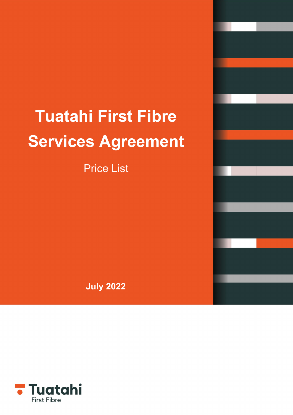# **Tuatahi First Fibre Services Agreement**

Price List

**July 2022**

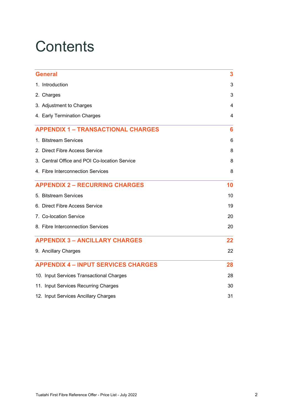## **Contents**

| <b>General</b>                                | 3  |
|-----------------------------------------------|----|
| 1. Introduction                               | 3  |
| 2. Charges                                    | 3  |
| 3. Adjustment to Charges                      | 4  |
| 4. Early Termination Charges                  | 4  |
| <b>APPENDIX 1 - TRANSACTIONAL CHARGES</b>     | 6  |
| 1. Bitstream Services                         | 6  |
| 2. Direct Fibre Access Service                | 8  |
| 3. Central Office and POI Co-location Service | 8  |
| 4. Fibre Interconnection Services             | 8  |
| <b>APPENDIX 2 - RECURRING CHARGES</b>         | 10 |
| 5. Bitstream Services                         | 10 |
| 6. Direct Fibre Access Service                | 19 |
| 7. Co-location Service                        | 20 |
| 8. Fibre Interconnection Services             | 20 |
| <b>APPENDIX 3 - ANCILLARY CHARGES</b>         | 22 |
| 9. Ancillary Charges                          | 22 |
| <b>APPENDIX 4 - INPUT SERVICES CHARGES</b>    | 28 |
| 10. Input Services Transactional Charges      | 28 |
| 11. Input Services Recurring Charges          | 30 |
| 12. Input Services Ancillary Charges          | 31 |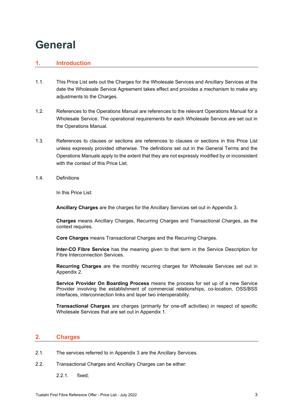### <span id="page-2-0"></span>**General**

#### <span id="page-2-1"></span>**1. Introduction**

- 1.1. This Price List sets out the Charges for the Wholesale Services and Ancillary Services at the date the Wholesale Service Agreement takes effect and provides a mechanism to make any adjustments to the Charges.
- 1.2. References to the Operations Manual are references to the relevant Operations Manual for a Wholesale Service. The operational requirements for each Wholesale Service are set out in the Operations Manual.
- 1.3. References to clauses or sections are references to clauses or sections in this Price List unless expressly provided otherwise. The definitions set out in the General Terms and the Operations Manuals apply to the extent that they are not expressly modified by or inconsistent with the context of this Price List.
- 1.4. Definitions

In this Price List:

**Ancillary Charges** are the charges for the Ancillary Services set out in Appendix 3.

**Charges** means Ancillary Charges, Recurring Charges and Transactional Charges, as the context requires.

**Core Charges** means Transactional Charges and the Recurring Charges.

**Inter-CO Fibre Service** has the meaning given to that term in the Service Description for Fibre Interconnection Services.

**Recurring Charges** are the monthly recurring charges for Wholesale Services set out in Appendix 2.

**Service Provider On Boarding Process** means the process for set up of a new Service Provider involving the establishment of commercial relationships, co-location, OSS/BSS interfaces, interconnection links and layer two interoperability.

**Transactional Charges** are charges (primarily for one-off activities) in respect of specific Wholesale Services that are set out in Appendix 1.

#### <span id="page-2-2"></span>**2. Charges**

- 2.1. The services referred to in Appendix 3 are the Ancillary Services.
- 2.2. Transactional Charges and Ancillary Charges can be either:
	- 2.2.1. fixed;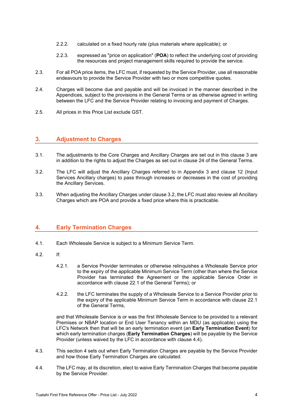- 2.2.2. calculated on a fixed hourly rate (plus materials where applicable); or
- 2.2.3. expressed as "price on application" (**POA**) to reflect the underlying cost of providing the resources and project management skills required to provide the service.
- 2.3. For all POA price items, the LFC must, if requested by the Service Provider, use all reasonable endeavours to provide the Service Provider with two or more competitive quotes.
- 2.4. Charges will become due and payable and will be invoiced in the manner described in the Appendices, subject to the provisions in the General Terms or as otherwise agreed in writing between the LFC and the Service Provider relating to invoicing and payment of Charges.
- 2.5. All prices in this Price List exclude GST.

#### <span id="page-3-0"></span>**3. Adjustment to Charges**

- 3.1. The adjustments to the Core Charges and Ancillary Charges are set out in this clause 3 are in addition to the rights to adjust the Charges as set out in clause 24 of the General Terms.
- 3.2. The LFC will adjust the Ancillary Charges referred to in Appendix 3 and clause 12 (Input Services Ancillary charges) to pass through increases or decreases in the cost of providing the Ancillary Services.
- 3.3. When adjusting the Ancillary Charges under clause 3.2, the LFC must also review all Ancillary Charges which are POA and provide a fixed price where this is practicable.

#### <span id="page-3-1"></span>**4. Early Termination Charges**

- 4.1. Each Wholesale Service is subject to a Minimum Service Term.
- 4.2. If:
	- 4.2.1. a Service Provider terminates or otherwise relinquishes a Wholesale Service prior to the expiry of the applicable Minimum Service Term (other than where the Service Provider has terminated the Agreement or the applicable Service Order in accordance with clause 22.1 of the General Terms); or
	- 4.2.2. the LFC terminates the supply of a Wholesale Service to a Service Provider prior to the expiry of the applicable Minimum Service Term in accordance with clause 22.1 of the General Terms,

and that Wholesale Service is or was the first Wholesale Service to be provided to a relevant Premises or NBAP location or End User Tenancy within an MDU (as applicable) using the LFC's Network then that will be an early termination event (an **Early Termination Event**) for which early termination charges (**Early Termination Charges**) will be payable by the Service Provider (unless waived by the LFC in accordance with clause 4.4).

- 4.3. This section 4 sets out when Early Termination Charges are payable by the Service Provider and how those Early Termination Charges are calculated.
- 4.4. The LFC may, at its discretion, elect to waive Early Termination Charges that become payable by the Service Provider.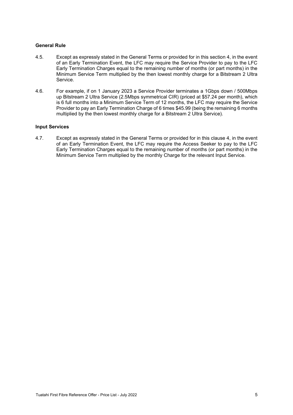#### **General Rule**

- 4.5. Except as expressly stated in the General Terms or provided for in this section 4, in the event of an Early Termination Event, the LFC may require the Service Provider to pay to the LFC Early Termination Charges equal to the remaining number of months (or part months) in the Minimum Service Term multiplied by the then lowest monthly charge for a Bitstream 2 Ultra Service.
- 4.6. For example, if on 1 January 2023 a Service Provider terminates a 1Gbps down / 500Mbps up Bitstream 2 Ultra Service (2.5Mbps symmetrical CIR) (priced at \$57.24 per month), which is 6 full months into a Minimum Service Term of 12 months, the LFC may require the Service Provider to pay an Early Termination Charge of 6 times \$45.99 (being the remaining 6 months multiplied by the then lowest monthly charge for a Bitstream 2 Ultra Service).

#### **Input Services**

4.7. Except as expressly stated in the General Terms or provided for in this clause 4, in the event of an Early Termination Event, the LFC may require the Access Seeker to pay to the LFC Early Termination Charges equal to the remaining number of months (or part months) in the Minimum Service Term multiplied by the monthly Charge for the relevant Input Service.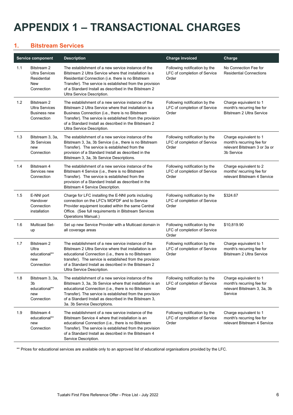## <span id="page-5-0"></span>**APPENDIX 1 – TRANSACTIONAL CHARGES**

#### <span id="page-5-1"></span>**1. Bitstream Services**

|     | <b>Service component</b>                                                        | <b>Description</b>                                                                                                                                                                                                                                                                                                           | <b>Charge invoiced</b>                                                 | Charge                                                                                             |
|-----|---------------------------------------------------------------------------------|------------------------------------------------------------------------------------------------------------------------------------------------------------------------------------------------------------------------------------------------------------------------------------------------------------------------------|------------------------------------------------------------------------|----------------------------------------------------------------------------------------------------|
| 1.1 | <b>Bitstream 2</b><br><b>Ultra Services</b><br>Residential<br>New<br>Connection | The establishment of a new service instance of the<br>Bitstream 2 Ultra Service where that installation is a<br>Residential Connection (i.e. there is no Bitstream<br>Transfer). The service is established from the provision<br>of a Standard Install as described in the Bitstream 2<br>Ultra Service Description.        | Following notification by the<br>LFC of completion of Service<br>Order | No Connection Fee for<br><b>Residential Connections</b>                                            |
| 1.2 | Bitstream 2<br><b>Ultra Services</b><br><b>Business new</b><br>Connection       | The establishment of a new service instance of the<br>Bitstream 2 Ultra Service where that installation is a<br>Business Connection (i.e., there is no Bitstream<br>Transfer). The service is established from the provision<br>of a Standard Install as described in the Bitstream 2<br>Ultra Service Description.          | Following notification by the<br>LFC of completion of Service<br>Order | Charge equivalent to 1<br>month's recurring fee for<br><b>Bitstream 2 Ultra Service</b>            |
| 1.3 | Bitstream 3, 3a,<br>3b Services<br>new<br>Connection                            | The establishment of a new service instance of the<br>Bitstream 3, 3a, 3b Service (i.e., there is no Bitstream<br>Transfer). The service is established from the<br>provision of a Standard Install as described in the<br>Bitstream 3, 3a, 3b Service Descriptions.                                                         | Following notification by the<br>LFC of completion of Service<br>Order | Charge equivalent to 1<br>month's recurring fee for<br>relevant Bitstream 3 or 3a or<br>3b Service |
| 1.4 | Bitstream 4<br>Services new<br>Connection                                       | The establishment of a new service instance of the<br>Bitstream 4 Service (i.e., there is no Bitstream<br>Transfer). The service is established from the<br>provision of a Standard Install as described in the<br>Bitstream 4 Service Description.                                                                          | Following notification by the<br>LFC of completion of Service<br>Order | Charge equivalent to 2<br>months' recurring fee for<br>relevant Bitstream 4 Service                |
| 1.5 | E-NNI port<br>Handover<br>Connection<br>installation                            | Charge for LFC installing the E-NNI ports including<br>connection on the LFC's MOFDF and to Service<br>Provider equipment located within the same Central<br>Office. (See full requirements in Bitstream Services<br>Operations Manual.)                                                                                     | Following notification by the<br>LFC of completion of Service<br>Order | \$324.67                                                                                           |
| 1.6 | <b>Multicast Set-</b><br>up                                                     | Set up new Service Provider with a Multicast domain in<br>all coverage areas                                                                                                                                                                                                                                                 | Following notification by the<br>LFC of completion of Service<br>Order | \$10,819.90                                                                                        |
| 1.7 | Bitstream 2<br>Ultra<br>educational**<br>new<br>Connection                      | The establishment of a new service instance of the<br>Bitstream 2 Ultra Service where that installation is an<br>educational Connection (i.e., there is no Bitstream<br>transfer). The service is established from the provision<br>of a Standard Install as described in the Bitstream 2<br>Ultra Service Description.      | Following notification by the<br>LFC of completion of Service<br>Order | Charge equivalent to 1<br>month's recurring fee for<br><b>Bitstream 2 Ultra Service</b>            |
| 1.8 | Bitstream 3, 3a,<br>3b<br>educational**<br>new<br>Connection                    | The establishment of a new service instance of the<br>Bitstream 3, 3a, 3b Service where that installation is an<br>educational Connection (i.e., there is no Bitstream<br>Transfer). The service is established from the provision<br>of a Standard Install as described in the Bitstream 3,<br>3a. 3b Service Descriptions. | Following notification by the<br>LFC of completion of Service<br>Order | Charge equivalent to 1<br>month's recurring fee for<br>relevant Bitstream 3, 3a, 3b<br>Service     |
| 1.9 | Bitstream 4<br>educational**<br>new<br>Connection                               | The establishment of a new service instance of the<br>Bitstream Service 4 where that installation is an<br>educational Connection (i.e., there is no Bitstream<br>Transfer). The service is established from the provision<br>of a Standard Install as described in the Bitstream 4<br>Service Description.                  | Following notification by the<br>LFC of completion of Service<br>Order | Charge equivalent to 1<br>month's recurring fee for<br>relevant Bitstream 4 Service                |

\*\* Prices for educational services are available only to an approved list of educational organisations provided by the LFC.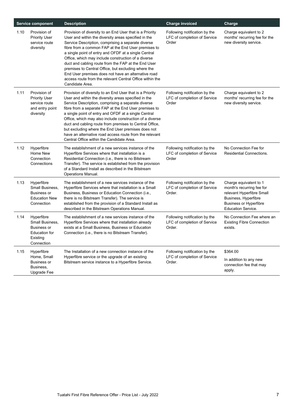|      | <b>Service component</b>                                                                              | <b>Description</b>                                                                                                                                                                                                                                                                                                                                                                                                                                                                                                                                                                               | <b>Charge invoiced</b>                                                  | Charge                                                                                                                                                          |
|------|-------------------------------------------------------------------------------------------------------|--------------------------------------------------------------------------------------------------------------------------------------------------------------------------------------------------------------------------------------------------------------------------------------------------------------------------------------------------------------------------------------------------------------------------------------------------------------------------------------------------------------------------------------------------------------------------------------------------|-------------------------------------------------------------------------|-----------------------------------------------------------------------------------------------------------------------------------------------------------------|
| 1.10 | Provision of<br><b>Priority User</b><br>service route<br>diversity                                    | Provision of diversity to an End User that is a Priority<br>User and within the diversity areas specified in the<br>Service Description, comprising a separate diverse<br>fibre from a common FAP at the End User premises to<br>a single point of entry and OFDF at a single Central<br>Office, which may include construction of a diverse<br>duct and cabling route from the FAP at the End User<br>premises to Central Office, but excluding where the<br>End User premises does not have an alternative road<br>access route from the relevant Central Office within the<br>Candidate Area. | Following notification by the<br>LFC of completion of Service<br>Order  | Charge equivalent to 2<br>months' recurring fee for the<br>new diversity service.                                                                               |
| 1.11 | Provision of<br><b>Priority User</b><br>service route<br>and entry point<br>diversity                 | Provision of diversity to an End User that is a Priority<br>User and within the diversity areas specified in the<br>Service Description, comprising a separate diverse<br>fibre from a separate FAP at the End User premises to<br>a single point of entry and OFDF at a single Central<br>Office, which may also include construction of a diverse<br>duct and cabling route from premises to Central Office,<br>but excluding where the End User premises does not<br>have an alternative road access route from the relevant<br>Central Office within the Candidate Area.                     | Following notification by the<br>LFC of completion of Service<br>Order  | Charge equivalent to 2<br>months' recurring fee for the<br>new diversity service.                                                                               |
| 1.12 | Hyperfibre<br>Home New<br>Connection<br>Connections                                                   | The establishment of a new services instance of the<br>Hyperfibre Services where that installation is a<br>Residential Connection (i.e., there is no Bitstream<br>Transfer). The service is established from the provision<br>of a Standard Install as described in the Bitstream<br>Operations Manual.                                                                                                                                                                                                                                                                                          | Following notification by the<br>LFC of completion of Service<br>Order  | No Connection Fee for<br><b>Residential Connections.</b>                                                                                                        |
| 1.13 | Hyperfibre<br>Small Business,<br><b>Business or</b><br><b>Education New</b><br>Connection             | The establishment of a new services instance of the<br>Hyperfibre Services where that installation is a Small<br>Business, Business or Education Connection (i.e.,<br>there is no Bitstream Transfer). The service is<br>established from the provision of a Standard Install as<br>described in the Bitstream Operations Manual.                                                                                                                                                                                                                                                                | Following notification by the<br>LFC of completion of Service<br>Order. | Charge equivalent to 1<br>month's recurring fee for<br>relevant Hyperfibre Small<br>Business, Hyperfibre<br><b>Business or Hyperfibre</b><br>Education Service. |
| 1.14 | Hyperfibre<br>Small Business.<br><b>Business or</b><br><b>Education for</b><br>Existing<br>Connection | The establishment of a new services instance of the<br>Hyperfibre Services where that installation already<br>exists at a Small Business, Business or Education<br>Connection (i.e., there is no Bitstream Transfer).                                                                                                                                                                                                                                                                                                                                                                            | Following notification by the<br>LFC of completion of Service<br>Order. | No Connection Fee where an<br><b>Existing Fibre Connection</b><br>exists.                                                                                       |
| 1.15 | Hyperfibre<br>Home, Small<br><b>Business or</b><br>Business,<br><b>Upgrade Fee</b>                    | The Installation of a new connection instance of the<br>Hyperfibre service or the upgrade of an existing<br>Bitstream service instance to a Hyperfibre Service.                                                                                                                                                                                                                                                                                                                                                                                                                                  | Following notification by the<br>LFC of completion of Service<br>Order. | \$364.00<br>In addition to any new<br>connection fee that may<br>apply.                                                                                         |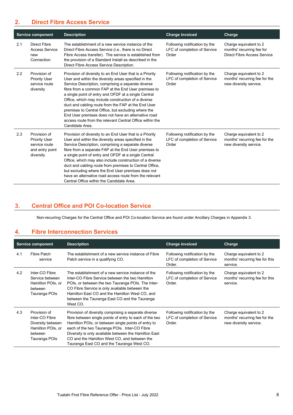#### <span id="page-7-0"></span>**2. Direct Fibre Access Service**

|     | <b>Service component</b>                                                              | <b>Description</b>                                                                                                                                                                                                                                                                                                                                                                                                                                                                                                                                                                               | <b>Charge invoiced</b>                                                 | Charge                                                                                    |
|-----|---------------------------------------------------------------------------------------|--------------------------------------------------------------------------------------------------------------------------------------------------------------------------------------------------------------------------------------------------------------------------------------------------------------------------------------------------------------------------------------------------------------------------------------------------------------------------------------------------------------------------------------------------------------------------------------------------|------------------------------------------------------------------------|-------------------------------------------------------------------------------------------|
| 2.1 | Direct Fibre<br><b>Access Service</b><br>new<br>Connection                            | The establishment of a new service instance of the<br>Direct Fibre Access Service ( <i>i.e.</i> , there is no Direct<br>Fibre Access transfer). The service is established from<br>the provision of a Standard Install as described in the<br>Direct Fibre Access Service Description.                                                                                                                                                                                                                                                                                                           | Following notification by the<br>LFC of completion of Service<br>Order | Charge equivalent to 2<br>months' recurring fee for<br><b>Direct Fibre Access Service</b> |
| 2.2 | Provision of<br><b>Priority User</b><br>service route<br>diversity                    | Provision of diversity to an End User that is a Priority<br>User and within the diversity areas specified in the<br>Service Description, comprising a separate diverse<br>fibre from a common FAP at the End User premises to<br>a single point of entry and OFDF at a single Central<br>Office, which may include construction of a diverse<br>duct and cabling route from the FAP at the End User<br>premises to Central Office, but excluding where the<br>End User premises does not have an alternative road<br>access route from the relevant Central Office within the<br>Candidate Area. | Following notification by the<br>LFC of completion of Service<br>Order | Charge equivalent to 2<br>months' recurring fee for the<br>new diversity service.         |
| 2.3 | Provision of<br><b>Priority User</b><br>service route<br>and entry point<br>diversity | Provision of diversity to an End User that is a Priority<br>User and within the diversity areas specified in the<br>Service Description, comprising a separate diverse<br>fibre from a separate FAP at the End User premises to<br>a single point of entry and OFDF at a single Central<br>Office, which may also include construction of a diverse<br>duct and cabling route from premises to Central Office,<br>but excluding where the End User premises does not<br>have an alternative road access route from the relevant<br>Central Office within the Candidate Area.                     | Following notification by the<br>LFC of completion of Service<br>Order | Charge equivalent to 2<br>months' recurring fee for the<br>new diversity service.         |

#### <span id="page-7-1"></span>**3. Central Office and POI Co-location Service**

Non-recurring Charges for the Central Office and POI Co-location Service are found under Ancillary Charges in Appendix 3.

#### <span id="page-7-2"></span>**4. Fibre Interconnection Services**

|     | <b>Service component</b>                                                                             | <b>Description</b>                                                                                                                                                                                                                                                                                                                                                             | <b>Charge invoiced</b>                                                  | Charge                                                                            |
|-----|------------------------------------------------------------------------------------------------------|--------------------------------------------------------------------------------------------------------------------------------------------------------------------------------------------------------------------------------------------------------------------------------------------------------------------------------------------------------------------------------|-------------------------------------------------------------------------|-----------------------------------------------------------------------------------|
| 4.1 | Fibre Patch<br>service                                                                               | The establishment of a new service instance of Fibre<br>Patch service in a qualifying CO.                                                                                                                                                                                                                                                                                      | Following notification by the<br>LFC of completion of Service<br>Order. | Charge equivalent to 2<br>months' recurring fee for this<br>service.              |
| 4.2 | Inter-CO Fibre<br>Service between<br>Hamilton POIs, or<br>between<br>Tauranga POIs                   | The establishment of a new service instance of the<br>Inter-CO Fibre Service between the two Hamilton<br>POIs, or between the two Tauranga POIs. The Inter-<br>CO Fibre Service is only available between the<br>Hamilton East CO and the Hamilton West CO, and<br>between the Tauranga East CO and the Tauranga<br>West CO.                                                   | Following notification by the<br>LFC of completion of Service<br>Order. | Charge equivalent to 2<br>months' recurring fee for this<br>service.              |
| 4.3 | Provision of<br>Inter-CO Fibre<br>Diversity between<br>Hamilton POIs, or<br>between<br>Tauranga POIs | Provision of diversity comprising a separate diverse<br>fibre between single points of entry to each of the two<br>Hamilton POIs, or between single points of entry to<br>each of the two Tauranga POIs. Inter-CO Fibre<br>Diversity is only available between the Hamilton East<br>CO and the Hamilton West CO, and between the<br>Tauranga East CO and the Tauranga West CO. | Following notification by the<br>LFC of completion of Service<br>Order. | Charge equivalent to 2<br>months' recurring fee for the<br>new diversity service. |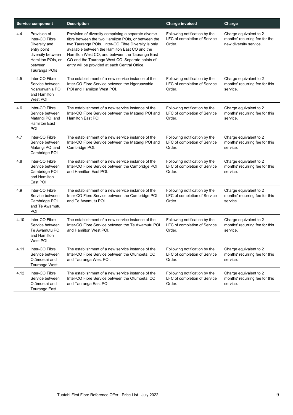|      | <b>Service component</b>                                                                                                             | <b>Description</b>                                                                                                                                                                                                                                                                                                                                                           | <b>Charge invoiced</b>                                                  | Charge                                                                            |
|------|--------------------------------------------------------------------------------------------------------------------------------------|------------------------------------------------------------------------------------------------------------------------------------------------------------------------------------------------------------------------------------------------------------------------------------------------------------------------------------------------------------------------------|-------------------------------------------------------------------------|-----------------------------------------------------------------------------------|
| 4.4  | Provision of<br>Inter-CO Fibre<br>Diversity and<br>entry point<br>diversity between<br>Hamilton POIs, or<br>between<br>Tauranga POIs | Provision of diversity comprising a separate diverse<br>fibre between the two Hamilton POIs, or between the<br>two Tauranga POIs. Inter-CO Fibre Diversity is only<br>available between the Hamilton East CO and the<br>Hamilton West CO, and between the Tauranga East<br>CO and the Tauranga West CO. Separate points of<br>entry will be provided at each Central Office. | Following notification by the<br>LFC of completion of Service<br>Order. | Charge equivalent to 2<br>months' recurring fee for the<br>new diversity service. |
| 4.5  | Inter-CO Fibre<br>Service between<br>Ngaruawahia POI<br>and Hamilton<br>West POI                                                     | The establishment of a new service instance of the<br>Inter-CO Fibre Service between the Ngaruawahia<br>POI and Hamilton West POI.                                                                                                                                                                                                                                           | Following notification by the<br>LFC of completion of Service<br>Order. | Charge equivalent to 2<br>months' recurring fee for this<br>service.              |
| 4.6  | Inter-CO Fibre<br>Service between<br>Matangi POI and<br><b>Hamilton East</b><br>POI                                                  | The establishment of a new service instance of the<br>Inter-CO Fibre Service between the Matangi POI and<br>Hamilton East POI.                                                                                                                                                                                                                                               | Following notification by the<br>LFC of completion of Service<br>Order. | Charge equivalent to 2<br>months' recurring fee for this<br>service.              |
| 4.7  | Inter-CO Fibre<br>Service between<br>Matangi POI and<br>Cambridge POI                                                                | The establishment of a new service instance of the<br>Inter-CO Fibre Service between the Matangi POI and<br>Cambridge POI.                                                                                                                                                                                                                                                   | Following notification by the<br>LFC of completion of Service<br>Order. | Charge equivalent to 2<br>months' recurring fee for this<br>service.              |
| 4.8  | Inter-CO Fibre<br>Service between<br>Cambridge POI<br>and Hamilton<br>East POI                                                       | The establishment of a new service instance of the<br>Inter-CO Fibre Service between the Cambridge POI<br>and Hamilton East POI.                                                                                                                                                                                                                                             | Following notification by the<br>LFC of completion of Service<br>Order. | Charge equivalent to 2<br>months' recurring fee for this<br>service.              |
| 4.9  | Inter-CO Fibre<br>Service between<br>Cambridge POI<br>and Te Awamutu<br>POI                                                          | The establishment of a new service instance of the<br>Inter-CO Fibre Service between the Cambridge POI<br>and Te Awamutu POI.                                                                                                                                                                                                                                                | Following notification by the<br>LFC of completion of Service<br>Order. | Charge equivalent to 2<br>months' recurring fee for this<br>service.              |
| 4.10 | Inter-CO Fibre<br>Service between<br>Te Awamutu POI<br>and Hamilton<br>West POI                                                      | The establishment of a new service instance of the<br>Inter-CO Fibre Service between the Te Awamutu POI<br>and Hamilton West POI.                                                                                                                                                                                                                                            | Following notification by the<br>LFC of completion of Service<br>Order. | Charge equivalent to 2<br>months' recurring fee for this<br>service.              |
| 4.11 | Inter-CO Fibre<br>Service between<br>Otūmoetai and<br>Tauranga West                                                                  | The establishment of a new service instance of the<br>Inter-CO Fibre Service between the Otumoetai CO<br>and Tauranga West POI.                                                                                                                                                                                                                                              | Following notification by the<br>LFC of completion of Service<br>Order. | Charge equivalent to 2<br>months' recurring fee for this<br>service.              |
| 4.12 | Inter-CO Fibre<br>Service between<br>Otūmoetai and<br>Tauranga East                                                                  | The establishment of a new service instance of the<br>Inter-CO Fibre Service between the Otumoetal CO<br>and Tauranga East POI.                                                                                                                                                                                                                                              | Following notification by the<br>LFC of completion of Service<br>Order. | Charge equivalent to 2<br>months' recurring fee for this<br>service.              |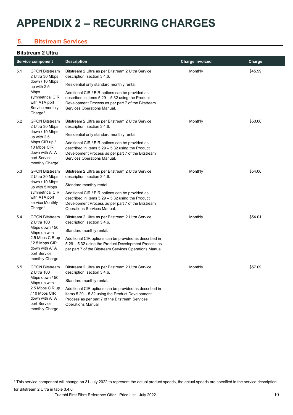## <span id="page-9-0"></span>**APPENDIX 2 – RECURRING CHARGES**

#### <span id="page-9-1"></span>**5. Bitstream Services**

#### **Bitstream 2 Ultra**

|     | <b>Service component</b>                                                                     | <b>Description</b>                                                                                                                                                                         | <b>Charge Invoiced</b> | Charge  |
|-----|----------------------------------------------------------------------------------------------|--------------------------------------------------------------------------------------------------------------------------------------------------------------------------------------------|------------------------|---------|
| 5.1 | <b>GPON Bitstream</b><br>2 Ultra 30 Mbps                                                     | Bitstream 2 Ultra as per Bitstream 2 Ultra Service<br>description, section 3.4.6.                                                                                                          | Monthly                | \$45.99 |
|     | down / 10 Mbps<br>up with 2.5                                                                | Residential only standard monthly rental.                                                                                                                                                  |                        |         |
|     | Mbps<br>symmetrical CIR<br>with ATA port<br>Service monthly<br>Change <sup>1</sup>           | Additional CIR / EIR options can be provided as<br>described in items $5.29 - 5.32$ using the Product<br>Development Process as per part 7 of the Bitstream<br>Services Operations Manual. |                        |         |
| 5.2 | <b>GPON Bitstream</b><br>2 Ultra 30 Mbps                                                     | Bitstream 2 Ultra as per Bitstream 2 Ultra Service<br>description, section 3.4.6.                                                                                                          | Monthly                | \$50.06 |
|     | down / 10 Mbps<br>up with 2.5                                                                | Residential only standard monthly rental.                                                                                                                                                  |                        |         |
|     | Mbps CIR up /<br>10 Mbps CIR<br>down with ATA<br>port Service<br>monthly Charge <sup>1</sup> | Additional CIR / EIR options can be provided as<br>described in items $5.29 - 5.32$ using the Product<br>Development Process as per part 7 of the Bitstream<br>Services Operations Manual. |                        |         |
| 5.3 | <b>GPON Bitstream</b><br>2 Ultra 30 Mbps                                                     | Bitstream 2 Ultra as per Bitstream 2 Ultra Service<br>description, section 3.4.6.                                                                                                          | Monthly                | \$54.06 |
|     | down / 10 Mbps<br>up with 5 Mbps                                                             | Standard monthly rental.                                                                                                                                                                   |                        |         |
|     | symmetrical CIR<br>with ATA port<br>service Monthly<br>Change <sup>1</sup>                   | Additional CIR / EIR options can be provided as<br>described in items $5.29 - 5.32$ using the Product<br>Development Process as per part 7 of the Bitstream<br>Operations Services Manual. |                        |         |
| 5.4 | <b>GPON Bitstream</b><br>2 Ultra 100                                                         | Bitstream 2 Ultra as per Bitstream 2 Ultra Service<br>description, section 3.4.6.                                                                                                          | Monthly                | \$54.01 |
|     | Mbps down / 50<br>Mbps up with                                                               | Standard monthly rental.                                                                                                                                                                   |                        |         |
|     | 2.5 Mbps CIR up<br>/ 2.5 Mbps CIR<br>down with ATA<br>port Service<br>monthly Charge         | Additional CIR options can be provided as described in<br>5.29 - 5.32 using the Product Development Process as<br>per part 7 of the Bitstream Services Operations Manual                   |                        |         |
| 5.5 | <b>GPON Bitstream</b><br>2 Ultra 100                                                         | Bitstream 2 Ultra as per Bitstream 2 Ultra Service<br>description, section 3.4.6.                                                                                                          | Monthly                | \$57.09 |
|     | Mbps down / 50<br>Mbps up with                                                               | Standard monthly rental.                                                                                                                                                                   |                        |         |
|     | 2.5 Mbps CIR up<br>/ 10 Mbps CIR<br>down with ATA<br>port Service<br>monthly Charge          | Additional CIR options can be provided as described in<br>items 5.29 - 5.32 using the Product Development<br>Process as per part 7 of the Bitstream Services<br><b>Operations Manual</b>   |                        |         |

<span id="page-9-2"></span><sup>&</sup>lt;sup>1</sup> This service component will change on 31 July 2022 to represent the actual product speeds, the actual speeds are specified in the service description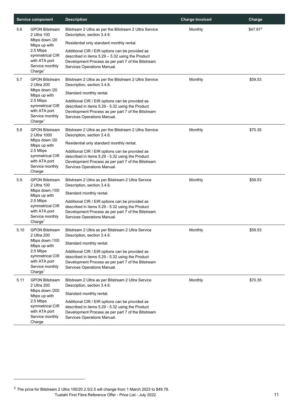| <b>Service component</b> |                                                                                        | <b>Description</b>                                                                                                                                                                       | <b>Charge Invoiced</b> | Charge   |
|--------------------------|----------------------------------------------------------------------------------------|------------------------------------------------------------------------------------------------------------------------------------------------------------------------------------------|------------------------|----------|
| 5.6                      | <b>GPON Bitstream</b><br>2 Ultra 100<br>Mbps down /20                                  | Bitstream 2 Ultra as per the Bitstream 2 Ultra Service<br>Description, section 3.4.6.                                                                                                    | Monthly                | \$47.872 |
|                          | Mbps up with                                                                           | Residential only standard monthly rental.                                                                                                                                                |                        |          |
|                          | 2.5 Mbps<br>symmetrical CIR<br>with ATA port<br>Service monthly<br>Change <sup>1</sup> | Additional CIR / EIR options can be provided as<br>described in items 5.29 - 5.32 using the Product<br>Development Process as per part 7 of the Bitstream<br>Services Operations Manual. |                        |          |
| 5.7                      | <b>GPON Bitstream</b><br>2 Ultra 200                                                   | Bitstream 2 Ultra as per the Bitstream 2 Ultra Service<br>Description, section 3.4.6.                                                                                                    | Monthly                | \$59.53  |
|                          | Mbps down /20<br>Mbps up with                                                          | Standard monthly rental.                                                                                                                                                                 |                        |          |
|                          | 2.5 Mbps<br>symmetrical CIR<br>with ATA port<br>Service monthly<br>Change <sup>1</sup> | Additional CIR / EIR options can be provided as<br>described in items 5.29 - 5.32 using the Product<br>Development Process as per part 7 of the Bitstream<br>Services Operations Manual. |                        |          |
| 5.8                      | <b>GPON Bitstream</b><br>2 Ultra 1000                                                  | Bitstream 2 Ultra as per the Bitstream 2 Ultra Service<br>Description, section 3.4.6.                                                                                                    | Monthly                | \$70.35  |
|                          | Mbps down /20<br>Mbps up with                                                          | Residential only standard monthly rental.                                                                                                                                                |                        |          |
|                          | 2.5 Mbps<br>symmetrical CIR<br>with ATA port<br>Service monthly<br>Charge              | Additional CIR / EIR options can be provided as<br>described in items 5.29 - 5.32 using the Product<br>Development Process as per part 7 of the Bitstream<br>Services Operations Manual. |                        |          |
| 5.9                      | <b>GPON Bitstream</b><br>2 Ultra 100                                                   | Bitstream 2 Ultra as per Bitstream 2 Ultra Service<br>Description, section 3.4.6.                                                                                                        | Monthly                | \$59.53  |
|                          | Mbps down /100<br>Mbps up with                                                         | Standard monthly rental.                                                                                                                                                                 |                        |          |
|                          | 2.5 Mbps<br>symmetrical CIR<br>with ATA port<br>Service monthly<br>Change <sup>1</sup> | Additional CIR / EIR options can be provided as<br>described in items 5.29 - 5.32 using the Product<br>Development Process as per part 7 of the Bitstream<br>Services Operations Manual. |                        |          |
| 5.10                     | <b>GPON Bitstream</b><br>2 Ultra 200                                                   | Bitstream 2 Ultra as per Bitstream 2 Ultra Service<br>Description, section 3.4.6.                                                                                                        | Monthly                | \$59.53  |
|                          | Mbps down /100<br>Mbps up with                                                         | Standard monthly rental.                                                                                                                                                                 |                        |          |
|                          | 2.5 Mbps<br>symmetrical CIR<br>with ATA port<br>Service monthly<br>Change <sup>1</sup> | Additional CIR / EIR options can be provided as<br>described in items 5.29 - 5.32 using the Product<br>Development Process as per part 7 of the Bitstream<br>Services Operations Manual. |                        |          |
| 5.11                     | <b>GPON Bitstream</b><br>2 Ultra 200                                                   | Bitstream 2 Ultra as per Bitstream 2 Ultra Service<br>Description, section 3.4.6.                                                                                                        | Monthly                | \$70.35  |
|                          | Mbps down /200<br>Mbps up with                                                         | Standard monthly rental.                                                                                                                                                                 |                        |          |
|                          | 2.5 Mbps<br>symmetrical CIR<br>with ATA port<br>Service monthly<br>Charge              | Additional CIR / EIR options can be provided as<br>described in items 5.29 - 5.32 using the Product<br>Development Process as per part 7 of the Bitstream<br>Services Operations Manual. |                        |          |

<span id="page-10-0"></span>Tuatahi First Fibre Reference Offer - Price List - July 2022 11 <sup>2</sup> The price for Bitstream 2 Ultra 100/20 2.5/2.5 will change from 1 March 2023 to \$49.78.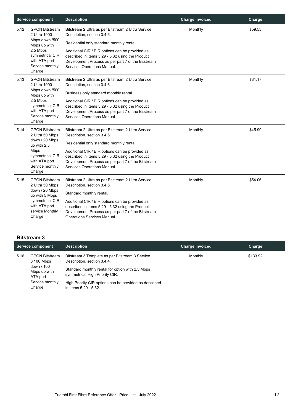|      | <b>Service component</b>                                                                                                                             | <b>Description</b>                                                                                                                                                                                                                                                                                                         | <b>Charge Invoiced</b> | Charge  |
|------|------------------------------------------------------------------------------------------------------------------------------------------------------|----------------------------------------------------------------------------------------------------------------------------------------------------------------------------------------------------------------------------------------------------------------------------------------------------------------------------|------------------------|---------|
| 5.12 | <b>GPON Bitstream</b><br>2 Ultra 1000<br>Mbps down /500<br>Mbps up with<br>2.5 Mbps<br>symmetrical CIR<br>with ATA port<br>Service monthly<br>Charge | Bitstream 2 Ultra as per Bitstream 2 Ultra Service<br>Description, section 3.4.6.<br>Residential only standard monthly rental.<br>Additional CIR / EIR options can be provided as<br>described in items 5.29 - 5.32 using the Product<br>Development Process as per part 7 of the Bitstream<br>Services Operations Manual. | Monthly                | \$59.53 |
| 5.13 | <b>GPON Bitstream</b><br>2 Ultra 1000<br>Mbps down /500<br>Mbps up with<br>2.5 Mbps<br>symmetrical CIR<br>with ATA port<br>Service monthly<br>Charge | Bitstream 2 Ultra as per Bitstream 2 Ultra Service<br>Description, section 3.4.6.<br>Business only standard monthly rental.<br>Additional CIR / EIR options can be provided as<br>described in items 5.29 - 5.32 using the Product<br>Development Process as per part 7 of the Bitstream<br>Services Operations Manual.    | Monthly                | \$81.17 |
| 5.14 | <b>GPON Bitstream</b><br>2 Ultra 50 Mbps<br>down / 20 Mbps<br>up with 2.5<br>Mbps<br>symmetrical CIR<br>with ATA port<br>Service monthly<br>Charge   | Bitstream 2 Ultra as per Bitstream 2 Ultra Service<br>Description, section 3.4.6.<br>Residential only standard monthly rental.<br>Additional CIR / EIR options can be provided as<br>described in items 5.29 - 5.32 using the Product<br>Development Process as per part 7 of the Bitstream<br>Services Operations Manual. | Monthly                | \$45.99 |
| 5.15 | <b>GPON Bitstream</b><br>2 Ultra 50 Mbps<br>down / 20 Mbps<br>up with 5 Mbps<br>symmetrical CIR<br>with ATA port<br>service Monthly<br>Charge        | Bitstream 2 Ultra as per Bitstream 2 Ultra Service<br>Description, section 3.4.6.<br>Standard monthly rental.<br>Additional CIR / EIR options can be provided as<br>described in items 5.29 - 5.32 using the Product<br>Development Process as per part 7 of the Bitstream<br>Operations Services Manual.                  | Monthly                | \$54.06 |

#### **Bitstream 3**

|      | Service component                                                             | <b>Description</b>                                                                                                                                                   | <b>Charge Invoiced</b> | Charge   |
|------|-------------------------------------------------------------------------------|----------------------------------------------------------------------------------------------------------------------------------------------------------------------|------------------------|----------|
| 5.16 | <b>GPON Bitstream</b><br>3 100 Mbps<br>down / 100<br>Mbps up with<br>ATA port | Bitstream 3 Template as per Bitstream 3 Service<br>Description, section 3.4.4.<br>Standard monthly rental for option with 2.5 Mbps<br>symmetrical High Priority CIR. | Monthly                | \$133.92 |
|      | Service monthly<br>Charge                                                     | High Priority CIR options can be provided as described<br>in items 5.29 - 5.32.                                                                                      |                        |          |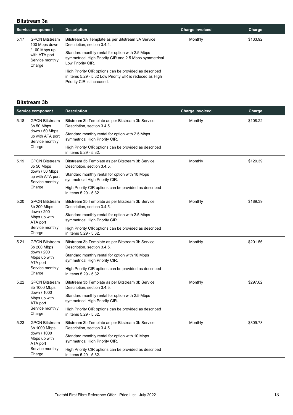#### **Bitstream 3a**

|      | <b>Service component</b>                                                                            | <b>Description</b>                                                                                                                                                                                                                                                                                                                                                      | <b>Charge Invoiced</b> | Charge   |
|------|-----------------------------------------------------------------------------------------------------|-------------------------------------------------------------------------------------------------------------------------------------------------------------------------------------------------------------------------------------------------------------------------------------------------------------------------------------------------------------------------|------------------------|----------|
| 5.17 | <b>GPON Bitstream</b><br>100 Mbps down<br>100 Mbps up<br>with ATA port<br>Service monthly<br>Charge | Bitstream 3A Template as per Bitstream 3A Service<br>Description, section 3.4.4.<br>Standard monthly rental for option with 2.5 Mbps<br>symmetrical High Priority CIR and 2.5 Mbps symmetrical<br>Low Priority CIR.<br>High Priority CIR options can be provided as described<br>in items 5.29 - 5.32 Low Priority EIR is reduced as High<br>Priority CIR is increased. | Monthly                | \$133.92 |

#### **Bitstream 3b**

| <b>Service component</b> |                                                                      | <b>Description</b>                                                                 | <b>Charge Invoiced</b> | Charge   |
|--------------------------|----------------------------------------------------------------------|------------------------------------------------------------------------------------|------------------------|----------|
| 5.18                     | <b>GPON Bitstream</b><br>3b 50 Mbps                                  | Bitstream 3b Template as per Bitstream 3b Service<br>Description, section 3.4.5.   | Monthly                | \$108.22 |
|                          | down / 50 Mbps<br>up with ATA port<br>Service monthly                | Standard monthly rental for option with 2.5 Mbps<br>symmetrical High Priority CIR. |                        |          |
|                          | Charge                                                               | High Priority CIR options can be provided as described<br>in items 5.29 - 5.32.    |                        |          |
| 5.19                     | <b>GPON Bitstream</b><br>3b 50 Mbps                                  | Bitstream 3b Template as per Bitstream 3b Service<br>Description, section 3.4.5.   | Monthly                | \$120.39 |
|                          | down / 50 Mbps<br>up with ATA port<br>Service monthly                | Standard monthly rental for option with 10 Mbps<br>symmetrical High Priority CIR.  |                        |          |
|                          | Charge                                                               | High Priority CIR options can be provided as described<br>in items 5.29 - 5.32.    |                        |          |
| 5.20                     | <b>GPON Bitstream</b><br>3b 200 Mbps                                 | Bitstream 3b Template as per Bitstream 3b Service<br>Description, section 3.4.5.   | Monthly                | \$189.39 |
|                          | down / 200<br>Mbps up with<br>ATA port                               | Standard monthly rental for option with 2.5 Mbps<br>symmetrical High Priority CIR. |                        |          |
|                          | Service monthly<br>Charge                                            | High Priority CIR options can be provided as described<br>in items 5.29 - 5.32.    |                        |          |
| 5.21                     | <b>GPON Bitstream</b><br>3b 200 Mbps                                 | Bitstream 3b Template as per Bitstream 3b Service<br>Description, section 3.4.5.   | Monthly                | \$201.56 |
|                          | down / 200<br>Mbps up with<br>ATA port                               | Standard monthly rental for option with 10 Mbps<br>symmetrical High Priority CIR.  |                        |          |
|                          | Service monthly<br>Charge                                            | High Priority CIR options can be provided as described<br>in items 5.29 - 5.32.    |                        |          |
| 5.22                     | <b>GPON Bitstream</b><br>3b 1000 Mbps                                | Bitstream 3b Template as per Bitstream 3b Service<br>Description, section 3.4.5.   | Monthly                | \$297.62 |
|                          | down / 1000<br>Mbps up with<br>ATA port<br>Service monthly<br>Charge | Standard monthly rental for option with 2.5 Mbps<br>symmetrical High Priority CIR. |                        |          |
|                          |                                                                      | High Priority CIR options can be provided as described<br>in items 5.29 - 5.32.    |                        |          |
| 5.23                     | <b>GPON Bitstream</b><br>3b 1000 Mbps                                | Bitstream 3b Template as per Bitstream 3b Service<br>Description, section 3.4.5.   | Monthly                | \$309.78 |
|                          | down / 1000<br>Mbps up with<br>ATA port                              | Standard monthly rental for option with 10 Mbps<br>symmetrical High Priority CIR.  |                        |          |
|                          | Service monthly<br>Charge                                            | High Priority CIR options can be provided as described<br>in items 5.29 - 5.32.    |                        |          |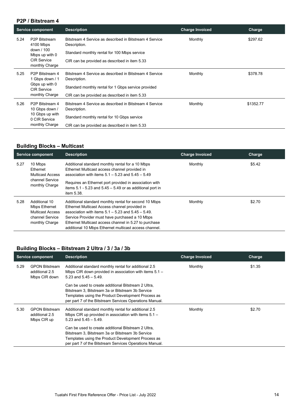#### **P2P / Bitstream 4**

|      | <b>Service component</b>                                                                                        | <b>Description</b>                                                                                                                                                              | <b>Charge Invoiced</b> | Charge    |
|------|-----------------------------------------------------------------------------------------------------------------|---------------------------------------------------------------------------------------------------------------------------------------------------------------------------------|------------------------|-----------|
| 5.24 | P <sub>2</sub> P Bitstream<br>4100 Mbps<br>down / 100<br>Mbps up with 0<br><b>CIR Service</b><br>monthly Charge | Bitstream 4 Service as described in Bitstream 4 Service<br>Description.<br>Standard monthly rental for 100 Mbps service<br>CIR can be provided as described in item 5.33        | Monthly                | \$297.62  |
| 5.25 | P <sub>2</sub> P Bitstream 4<br>1 Gbps down / 1<br>Gbps up with 0<br><b>CIR Service</b><br>monthly Charge       | Bitstream 4 Service as described in Bitstream 4 Service<br>Description.<br>Standard monthly rental for 1 Gbps service provided<br>CIR can be provided as described in item 5.33 | Monthly                | \$378.78  |
| 5.26 | P <sub>2</sub> P Bitstream 4<br>10 Gbps down /<br>10 Gbps up with<br>0 CIR Service<br>monthly Charge            | Bitstream 4 Service as described in Bitstream 4 Service<br>Description.<br>Standard monthly rental for 10 Gbps service<br>CIR can be provided as described in item 5.33         | Monthly                | \$1352.77 |

#### **Building Blocks – Multicast**

| <b>Service component</b> |                                                                                                | <b>Description</b>                                                                                                                                                                                                                                                                                                                    | <b>Charge Invoiced</b> | Charge |
|--------------------------|------------------------------------------------------------------------------------------------|---------------------------------------------------------------------------------------------------------------------------------------------------------------------------------------------------------------------------------------------------------------------------------------------------------------------------------------|------------------------|--------|
| 5.27                     | 10 Mbps<br>Ethernet<br><b>Multicast Access</b>                                                 | Additional standard monthly rental for a 10 Mbps<br>Ethernet Multicast access channel provided in<br>association with items $5.1 - 5.23$ and $5.45 - 5.49$                                                                                                                                                                            | Monthly                | \$5.42 |
|                          | channel Service<br>monthly Charge                                                              | Requires an Ethernet port provided in association with<br>items $5.1 - 5.23$ and $5.45 - 5.49$ or as additional port in<br>item 5.38.                                                                                                                                                                                                 |                        |        |
| 5.28                     | Additional 10<br>Mbps Ethernet<br><b>Multicast Access</b><br>channel Service<br>monthly Charge | Additional standard monthly rental for second 10 Mbps<br>Ethernet Multicast Access channel provided in<br>association with items $5.1 - 5.23$ and $5.45 - 5.49$ .<br>Service Provider must have purchased a 10 Mbps<br>Ethernet Multicast access channel in 5.27 to purchase<br>additional 10 Mbps Ethernet multicast access channel. | Monthly                | \$2.70 |

#### **Building Blocks – Bitstream 2 Ultra / 3 / 3a / 3b**

| <b>Service component</b> |                                                          | <b>Description</b>                                                                                                                                                                                                        | <b>Charge Invoiced</b> | Charge |
|--------------------------|----------------------------------------------------------|---------------------------------------------------------------------------------------------------------------------------------------------------------------------------------------------------------------------------|------------------------|--------|
| 5.29                     | <b>GPON Bitstream</b><br>additional 2.5<br>Mbps CIR down | Additional standard monthly rental for additional 2.5<br>Mbps CIR down provided in association with items $5.1 -$<br>5.23 and $5.45 - 5.49$ .                                                                             | Monthly                | \$1.35 |
|                          |                                                          | Can be used to create additional Bitstream 2 Ultra,<br>Bitstream 3. Bitstream 3a or Bitstream 3b Service<br>Templates using the Product Development Process as<br>per part 7 of the Bitstream Services Operations Manual. |                        |        |
| 5.30                     | <b>GPON Bitstream</b><br>additional 2.5<br>Mbps CIR up   | Additional standard monthly rental for additional 2.5<br>Mbps CIR up provided in association with items $5.1 -$<br>5.23 and $5.45 - 5.49$ .                                                                               | Monthly                | \$2.70 |
|                          |                                                          | Can be used to create additional Bitstream 2 Ultra,<br>Bitstream 3, Bitstream 3a or Bitstream 3b Service<br>Templates using the Product Development Process as<br>per part 7 of the Bitstream Services Operations Manual. |                        |        |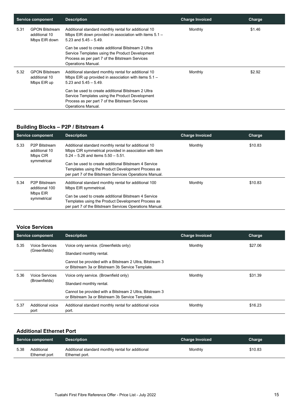| <b>Service component</b> |                                                         | <b>Description</b>                                                                                                                                                             | <b>Charge Invoiced</b> | Charge |
|--------------------------|---------------------------------------------------------|--------------------------------------------------------------------------------------------------------------------------------------------------------------------------------|------------------------|--------|
| 5.31                     | <b>GPON Bitstream</b><br>additional 10<br>Mbps EIR down | Additional standard monthly rental for additional 10<br>Mbps EIR down provided in association with items $5.1 -$<br>5.23 and $5.45 - 5.49$ .                                   | Monthly                | \$1.46 |
|                          |                                                         | Can be used to create additional Bitstream 2 Ultra<br>Service Templates using the Product Development<br>Process as per part 7 of the Bitstream Services<br>Operations Manual. |                        |        |
| 5.32                     | <b>GPON Bitstream</b><br>additional 10<br>Mbps EIR up   | Additional standard monthly rental for additional 10<br>Mbps EIR up provided in association with items $5.1 -$<br>$5.23$ and $5.45 - 5.49$ .                                   | Monthly                | \$2.92 |
|                          |                                                         | Can be used to create additional Bitstream 2 Ultra<br>Service Templates using the Product Development<br>Process as per part 7 of the Bitstream Services<br>Operations Manual. |                        |        |

#### **Building Blocks – P2P / Bitstream 4**

| <b>Service component</b> |                                                                        | <b>Description</b>                                                                                                                                                                                                                                                      | <b>Charge Invoiced</b> | Charge  |
|--------------------------|------------------------------------------------------------------------|-------------------------------------------------------------------------------------------------------------------------------------------------------------------------------------------------------------------------------------------------------------------------|------------------------|---------|
| 5.33                     | P <sub>2</sub> P Bitstream<br>additional 10<br>Mbps CIR<br>symmetrical | Additional standard monthly rental for additional 10<br>Mbps CIR symmetrical provided in association with item<br>$5.24 - 5.26$ and items $5.50 - 5.51$ .<br>Can be used to create additional Bitstream 4 Service<br>Templates using the Product Development Process as | Monthly                | \$10.83 |
|                          |                                                                        | per part 7 of the Bitstream Services Operations Manual.                                                                                                                                                                                                                 |                        |         |
| 5.34                     | P2P Bitstream<br>additional 100                                        | Additional standard monthly rental for additional 100<br>Mbps EIR symmetrical.                                                                                                                                                                                          | Monthly                | \$10.83 |
|                          | Mbps EIR<br>symmetrical                                                | Can be used to create additional Bitstream 4 Service                                                                                                                                                                                                                    |                        |         |
|                          |                                                                        | Templates using the Product Development Process as                                                                                                                                                                                                                      |                        |         |
|                          |                                                                        | per part 7 of the Bitstream Services Operations Manual.                                                                                                                                                                                                                 |                        |         |

#### **Voice Services**

| <b>Service component</b> |                                 | <b>Description</b>                                                                                            | <b>Charge Invoiced</b> | Charge  |
|--------------------------|---------------------------------|---------------------------------------------------------------------------------------------------------------|------------------------|---------|
| 5.35                     | Voice Services                  | Voice only service. (Greenfields only)                                                                        | Monthly                | \$27.06 |
|                          | (Greenfields)                   | Standard monthly rental.                                                                                      |                        |         |
|                          |                                 | Cannot be provided with a Bitstream 2 Ultra, Bitstream 3<br>or Bitstream 3a or Bitstream 3b Service Template. |                        |         |
| 5.36                     | Voice Services<br>(Brownfields) | Voice only service. (Brownfield only)                                                                         | Monthly                | \$31.39 |
|                          |                                 | Standard monthly rental.                                                                                      |                        |         |
|                          |                                 | Cannot be provided with a Bitstream 2 Ultra, Bitstream 3<br>or Bitstream 3a or Bitstream 3b Service Template. |                        |         |
| 5.37                     | Additional voice<br>port        | Additional standard monthly rental for additional voice<br>port.                                              | Monthly                | \$16.23 |

#### **Additional Ethernet Port**

|      | Service component           | <b>Description</b>                                                  | <b>Charge Invoiced</b> | Charge  |
|------|-----------------------------|---------------------------------------------------------------------|------------------------|---------|
| 5.38 | Additional<br>Ethernet port | Additional standard monthly rental for additional<br>Ethernet port. | Monthly                | \$10.83 |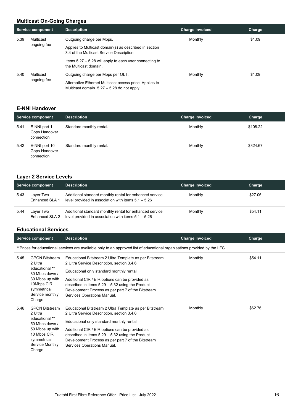#### **Multicast On-Going Charges**

|      | <b>Service component</b> | <b>Description</b>                                                                                       | <b>Charge Invoiced</b> | Charge |
|------|--------------------------|----------------------------------------------------------------------------------------------------------|------------------------|--------|
| 5.39 | Multicast                | Outgoing charge per Mbps.                                                                                | Monthly                | \$1.09 |
|      | ongoing fee              | Applies to Multicast domain(s) as described in section<br>3.4 of the Multicast Service Description.      |                        |        |
|      |                          | Items $5.27 - 5.28$ will apply to each user connecting to<br>the Multicast domain.                       |                        |        |
| 5.40 | Multicast<br>ongoing fee | Outgoing charge per Mbps per OLT.                                                                        | Monthly                | \$1.09 |
|      |                          | Alternative Ethernet Multicast access price. Applies to<br>Multicast domain. $5.27 - 5.28$ do not apply. |                        |        |

#### **E-NNI Handover**

|      | <b>Service component</b>                     | <b>Description</b>       | <b>Charge Invoiced</b> | Charge   |
|------|----------------------------------------------|--------------------------|------------------------|----------|
| 5.41 | E-NNI port 1<br>Gbps Handover<br>connection  | Standard monthly rental. | Monthly                | \$108.22 |
| 5.42 | E-NNI port 10<br>Gbps Handover<br>connection | Standard monthly rental. | Monthly                | \$324.67 |

#### **Layer 2 Service Levels**

|      | <b>Service component</b>    | <b>Description</b>                                                                                               | <b>Charge Invoiced</b> | Charge  |
|------|-----------------------------|------------------------------------------------------------------------------------------------------------------|------------------------|---------|
| 5.43 | Laver Two<br>Enhanced SLA 1 | Additional standard monthly rental for enhanced service<br>level provided in association with items $5.1 - 5.26$ | Monthly                | \$27.06 |
| 5.44 | Laver Two<br>Enhanced SLA 2 | Additional standard monthly rental for enhanced service<br>level provided in association with items $5.1 - 5.26$ | Monthly                | \$54.11 |

#### **Educational Services**

|      | <b>Service component</b>                                                                                                                           | <b>Description</b>                                                                                                                                                                                                                                                                                                                               | <b>Charge Invoiced</b> | Charge  |  |
|------|----------------------------------------------------------------------------------------------------------------------------------------------------|--------------------------------------------------------------------------------------------------------------------------------------------------------------------------------------------------------------------------------------------------------------------------------------------------------------------------------------------------|------------------------|---------|--|
|      | **Prices for educational services are available only to an approved list of educational organisations provided by the LFC.                         |                                                                                                                                                                                                                                                                                                                                                  |                        |         |  |
| 5.45 | <b>GPON Bitstream</b><br>2 Ultra<br>educational **<br>30 Mbps down /<br>30 Mbps up with<br>10Mbps CIR<br>symmetrical<br>Service monthly<br>Charge  | Educational Bitstream 2 Ultra Template as per Bitstream<br>2 Ultra Service Description, section 3.4.6<br>Educational only standard monthly rental.<br>Additional CIR / EIR options can be provided as<br>described in items $5.29 - 5.32$ using the Product<br>Development Process as per part 7 of the Bitstream<br>Services Operations Manual. | Monthly                | \$54.11 |  |
| 5.46 | <b>GPON Bitstream</b><br>2 Ultra<br>educational **<br>50 Mbps down /<br>50 Mbps up with<br>10 Mbps CIR<br>symmetrical<br>Service Monthly<br>Charge | Educational Bitstream 2 Ultra Template as per Bitstream<br>2 Ultra Service Description, section 3.4.6<br>Educational only standard monthly rental.<br>Additional CIR / EIR options can be provided as<br>described in items $5.29 - 5.32$ using the Product<br>Development Process as per part 7 of the Bitstream<br>Services Operations Manual. | Monthly                | \$62.76 |  |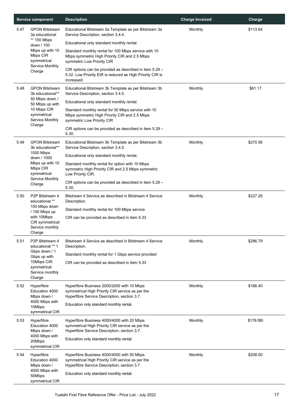| <b>Service component</b> |                                                                        | <b>Description</b>                                                                                                                                                                        | <b>Charge Invoiced</b> | Charge    |
|--------------------------|------------------------------------------------------------------------|-------------------------------------------------------------------------------------------------------------------------------------------------------------------------------------------|------------------------|-----------|
| 5.47                     | <b>GPON Bitstream</b><br>3a educational<br>** 100 Mbps                 | Educational Bitstream 3a Template as per Bitstream 3a<br>Service Description, section 3.4.4.                                                                                              | Monthly                | \$113.64  |
|                          | down / 100<br>Mbps up with 10<br>Mbps CIR<br>symmetrical               | Educational only standard monthly rental.<br>Standard monthly rental for 100 Mbps service with 10<br>Mbps symmetric High Priority CIR and 2.5 Mbps<br>symmetric Low Priority CIR          |                        |           |
|                          | Service Monthly<br>Charge                                              | CIR options can be provided as described in item 5.29 -<br>5.32. Low Priority EIR is reduced as High Priority CIR is<br>increased.                                                        |                        |           |
| 5.48                     | <b>GPON Bitstream</b><br>3b educational**                              | Educational Bitstream 3b Template as per Bitstream 3b<br>Service Description, section 3.4.5.                                                                                              | Monthly                | \$81.17   |
|                          | 50 Mbps down /<br>50 Mbps up with                                      | Educational only standard monthly rental.                                                                                                                                                 |                        |           |
|                          | 10 Mbps CIR<br>symmetrical<br>Service Monthly<br>Charge                | Standard monthly rental for 50 Mbps service with 10<br>Mbps symmetric High Priority CIR and 2.5 Mbps<br>symmetric Low Priority CIR                                                        |                        |           |
|                          |                                                                        | CIR options can be provided as described in item 5.29 -<br>5.30.                                                                                                                          |                        |           |
| 5.49                     | <b>GPON Bitstream</b><br>3b educational**                              | Educational Bitstream 3b Template as per Bitstream 3b<br>Service Description, section 3.4.5.                                                                                              | Monthly                | \$270.56  |
|                          | 1000 Mbps<br>down / 1000                                               | Educational only standard monthly rental.                                                                                                                                                 |                        |           |
|                          | Mbps up with 10<br>Mbps CIR<br>symmetrical                             | Standard monthly rental for option with 10 Mbps<br>symmetric High Priority CIR and 2.5 Mbps symmetric<br>Low Priority CIR.                                                                |                        |           |
|                          | Service Monthly<br>Charge                                              | CIR options can be provided as described in item 5.29 -<br>5.30.                                                                                                                          |                        |           |
| 5.50                     | P <sub>2</sub> P Bitstream 4<br>educational **                         | Bitstream 4 Service as described in Bitstream 4 Service<br>Description.                                                                                                                   | Monthly                | \$227.26  |
|                          | 100 Mbps down<br>/ 100 Mbps up                                         | Standard monthly rental for 100 Mbps service                                                                                                                                              |                        |           |
|                          | with 10Mbps<br>CIR symmetrical<br>Service monthly<br>Charge            | CIR can be provided as described in item 5.33                                                                                                                                             |                        |           |
| 5.51                     | P2P Bitstream 4<br>educational ** 1                                    | Bitstream 4 Service as described in Bitstream 4 Service<br>Description.                                                                                                                   | Monthly                | \$286.79  |
|                          | Gbps down / 1                                                          | Standard monthly rental for 1 Gbps service provided                                                                                                                                       |                        |           |
|                          | Gbps up with<br>10Mbps CIR<br>symmetrical<br>Service monthly<br>Charge | CIR can be provided as described in item 5.33                                                                                                                                             |                        |           |
| 5.52                     | Hyperfibre<br>Education 4000<br>Mbps down /                            | Hyperfibre Business 2000/2000 with 10 Mbps<br>symmetrical High Priority CIR service as per the<br>Hyperfibre Service Description, section 3.7.                                            | Monthly                | \$166.40  |
|                          | 4000 Mbps with<br>10Mbps<br>symmetrical CIR                            | Education only standard monthly rental.                                                                                                                                                   |                        |           |
| 5.53                     | Hyperfibre<br>Education 4000<br>Mbps down /<br>4000 Mbps with          | Hyperfibre Business 4000/4000 with 20 Mbps<br>symmetrical High Priority CIR service as per the<br>Hyperfibre Service Description, section 3.7.                                            | Monthly                | \$176.f80 |
|                          | 20Mbps<br>symmetrical CIR                                              | Education only standard monthly rental.                                                                                                                                                   |                        |           |
| 5.54                     | Hyperfibre<br>Education 4000<br>Mbps down /<br>4000 Mbps with          | Hyperfibre Business 4000/4000 with 50 Mbps<br>symmetrical High Priority CIR service as per the<br>Hyperfibre Service Description, section 3.7.<br>Education only standard monthly rental. | Monthly                | \$208.00  |
|                          | 50Mbps<br>symmetrical CIR                                              |                                                                                                                                                                                           |                        |           |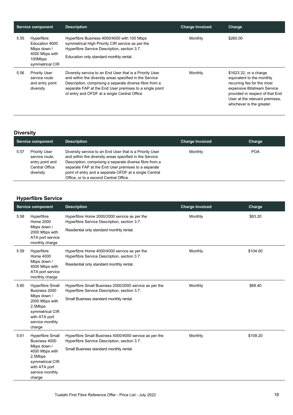| <b>Service component</b> |                                                                                             | <b>Description</b>                                                                                                                                                                                                                                                                        | <b>Charge Invoiced</b> | Charge                                                                                                                                                                                                             |
|--------------------------|---------------------------------------------------------------------------------------------|-------------------------------------------------------------------------------------------------------------------------------------------------------------------------------------------------------------------------------------------------------------------------------------------|------------------------|--------------------------------------------------------------------------------------------------------------------------------------------------------------------------------------------------------------------|
| 5.55                     | Hyperfibre<br>Education 4000<br>Mbps down /<br>4000 Mbps with<br>100Mbps<br>symmetrical CIR | Hyperfibre Business 4000/4000 with 100 Mbps<br>symmetrical High Priority CIR service as per the<br>Hyperfibre Service Description, section 3.7.<br>Education only standard monthly rental.                                                                                                | Monthly                | \$260.00                                                                                                                                                                                                           |
| 5.56                     | <b>Priority User</b><br>service route<br>and entry point<br>diversity                       | Diversity service to an End User that is a Priority User<br>and within the diversity areas specified in the Service<br>Description, comprising a separate diverse fibre from a<br>separate FAP at the End User premises to a single point<br>of entry and OFDF at a single Central Office | Monthly                | \$1623.32, or a charge<br>equivalent to the monthly<br>recurring fee for the most<br>expensive Bitstream Service<br>provided in respect of that End<br>User at the relevant premises,<br>whichever is the greater. |

#### **Diversity**

|      | Service component                                                                        | <b>Description</b>                                                                                                                                                                                                                                                                                                                        | <b>Charge Invoiced</b> | Charge     |
|------|------------------------------------------------------------------------------------------|-------------------------------------------------------------------------------------------------------------------------------------------------------------------------------------------------------------------------------------------------------------------------------------------------------------------------------------------|------------------------|------------|
| 5.57 | <b>Priority User</b><br>service route.<br>entry point and<br>Central Office<br>diversity | Diversity service to an End User that is a Priority User<br>and within the diversity areas specified in the Service<br>Description, comprising a separate diverse fibre from a<br>separate FAP at the End User premises to a separate<br>point of entry and a separate OFDF at a single Central<br>Office, or to a second Central Office. | Monthly                | <b>POA</b> |

#### **Hyperfibre Service**

|      | <b>Service component</b>                                                                                                                              | <b>Description</b>                                                                                                                                | <b>Charge Invoiced</b> | Charge   |
|------|-------------------------------------------------------------------------------------------------------------------------------------------------------|---------------------------------------------------------------------------------------------------------------------------------------------------|------------------------|----------|
| 5.58 | Hyperfibre<br><b>Home 2000</b><br>Mbps down /<br>2000 Mbps with<br>ATA port service<br>monthly charge                                                 | Hyperfibre Home 2000/2000 service as per the<br>Hyperfibre Service Description, section 3.7.<br>Residential only standard monthly rental.         | Monthly                | \$83.20  |
| 5.59 | Hyperfibre<br><b>Home 4000</b><br>Mbps down /<br>4000 Mbps with<br>ATA port service<br>monthly charge                                                 | Hyperfibre Home 4000/4000 service as per the<br>Hyperfibre Service Description, section 3.7.<br>Residential only standard monthly rental.         | Monthly                | \$104.00 |
| 5.60 | Hyperfibre Small<br>Business 2000<br>Mbps down /<br>2000 Mbps with<br>2.5Mbps<br>symmetrical CIR<br>with ATA port<br>service monthly<br>charge        | Hyperfibre Small Business 2000/2000 service as per the<br>Hyperfibre Service Description, section 3.7.<br>Small Business standard monthly rental. | Monthly                | \$88.40  |
| 5.61 | <b>Hyperfibre Small</b><br>Business 4000<br>Mbps down /<br>4000 Mbps with<br>2.5Mbps<br>symmetrical CIR<br>with ATA port<br>service monthly<br>charge | Hyperfibre Small Business 4000/4000 service as per the<br>Hyperfibre Service Description, section 3.7.<br>Small Business standard monthly rental. | Monthly                | \$109.20 |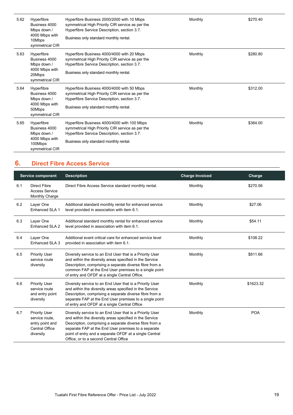| 5.62 | Hyperfibre<br>Business 4000<br>Mbps down /<br>4000 Mbps with<br>10Mbps<br>symmetrical CIR  | Hyperfibre Business 2000/2000 with 10 Mbps<br>symmetrical High Priority CIR service as per the<br>Hyperfibre Service Description, section 3.7.<br>Business only standard monthly rental.  | Monthly | \$270.40 |
|------|--------------------------------------------------------------------------------------------|-------------------------------------------------------------------------------------------------------------------------------------------------------------------------------------------|---------|----------|
| 5.63 | Hyperfibre<br>Business 4000<br>Mbps down /<br>4000 Mbps with<br>20Mbps<br>symmetrical CIR  | Hyperfibre Business 4000/4000 with 20 Mbps<br>symmetrical High Priority CIR service as per the<br>Hyperfibre Service Description, section 3.7.<br>Business only standard monthly rental.  | Monthly | \$280.80 |
| 5.64 | Hyperfibre<br>Business 4000<br>Mbps down /<br>4000 Mbps with<br>50Mbps<br>symmetrical CIR  | Hyperfibre Business 4000/4000 with 50 Mbps<br>symmetrical High Priority CIR service as per the<br>Hyperfibre Service Description, section 3.7.<br>Business only standard monthly rental.  | Monthly | \$312.00 |
| 5.65 | Hyperfibre<br>Business 4000<br>Mbps down /<br>4000 Mbps with<br>100Mbps<br>symmetrical CIR | Hyperfibre Business 4000/4000 with 100 Mbps<br>symmetrical High Priority CIR service as per the<br>Hyperfibre Service Description, section 3.7.<br>Business only standard monthly rental. | Monthly | \$364.00 |

#### <span id="page-18-0"></span>**6. Direct Fibre Access Service**

|     | <b>Service component</b>                                                                        | <b>Description</b>                                                                                                                                                                                                                                                                                                                       | <b>Charge Invoiced</b> | Charge     |
|-----|-------------------------------------------------------------------------------------------------|------------------------------------------------------------------------------------------------------------------------------------------------------------------------------------------------------------------------------------------------------------------------------------------------------------------------------------------|------------------------|------------|
| 6.1 | <b>Direct Fibre</b><br><b>Access Service</b><br>Monthly Charge                                  | Direct Fibre Access Service standard monthly rental.                                                                                                                                                                                                                                                                                     | Monthly                | \$270.56   |
| 6.2 | Layer One<br>Enhanced SLA 1                                                                     | Additional standard monthly rental for enhanced service<br>level provided in association with item 6.1.                                                                                                                                                                                                                                  | Monthly                | \$27.06    |
| 6.3 | Layer One<br>Enhanced SLA 2                                                                     | Additional standard monthly rental for enhanced service<br>level provided in association with item 6.1.                                                                                                                                                                                                                                  | Monthly                | \$54.11    |
| 6.4 | Layer One<br>Enhanced SLA 3                                                                     | Additional event critical care for enhanced service level<br>provided in association with item 6.1.                                                                                                                                                                                                                                      | Monthly                | \$108.22   |
| 6.5 | <b>Priority User</b><br>service route<br>diversity                                              | Diversity service to an End User that is a Priority User<br>and within the diversity areas specified in the Service<br>Description, comprising a separate diverse fibre from a<br>common FAP at the End User premises to a single point<br>of entry and OFDF at a single Central Office.                                                 | Monthly                | \$811.66   |
| 6.6 | <b>Priority User</b><br>service route<br>and entry point<br>diversity                           | Diversity service to an End User that is a Priority User<br>and within the diversity areas specified in the Service<br>Description, comprising a separate diverse fibre from a<br>separate FAP at the End User premises to a single point<br>of entry and OFDF at a single Central Office                                                | Monthly                | \$1623.32  |
| 6.7 | <b>Priority User</b><br>service route,<br>entry point and<br><b>Central Office</b><br>diversity | Diversity service to an End User that is a Priority User<br>and within the diversity areas specified in the Service<br>Description, comprising a separate diverse fibre from a<br>separate FAP at the End User premises to a separate<br>point of entry and a separate OFDF at a single Central<br>Office, or to a second Central Office | Monthly                | <b>POA</b> |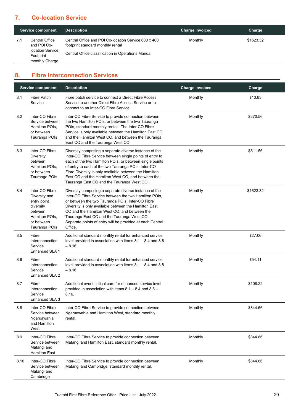#### <span id="page-19-0"></span>**7. Co-location Service**

|     | <b>Service component</b>                                                         | <b>Description</b>                                                                                                                              | <b>Charge Invoiced</b> | Charge    |
|-----|----------------------------------------------------------------------------------|-------------------------------------------------------------------------------------------------------------------------------------------------|------------------------|-----------|
| 7.1 | Central Office<br>and POI Co-<br>location Service<br>Footprint<br>monthly Charge | Central Office and POI Co-location Service 600 x 400<br>footprint standard monthly rental<br>Central Office classification in Operations Manual | Monthly                | \$1623.32 |

#### <span id="page-19-1"></span>**8. Fibre Interconnection Services**

|      | <b>Service component</b>                                                                                                | <b>Description</b>                                                                                                                                                                                                                                                                                                                                                                                  | <b>Charge Invoiced</b> | Charge    |
|------|-------------------------------------------------------------------------------------------------------------------------|-----------------------------------------------------------------------------------------------------------------------------------------------------------------------------------------------------------------------------------------------------------------------------------------------------------------------------------------------------------------------------------------------------|------------------------|-----------|
| 8.1  | <b>Fibre Patch</b><br>Service                                                                                           | Fibre patch service to connect a Direct Fibre Access<br>Service to another Direct Fibre Access Service or to<br>connect to an Inter-CO Fibre Service                                                                                                                                                                                                                                                | Monthly                | \$10.83   |
| 8.2  | Inter-CO Fibre<br>Service between<br>Hamilton POIs,<br>or between<br>Tauranga POIs                                      | Inter-CO Fibre Service to provide connection between<br>the two Hamilton POIs, or between the two Tauranga<br>POIs, standard monthly rental. The Inter-CO Fibre<br>Service is only available between the Hamilton East CO<br>and the Hamilton West CO, and between the Tauranga<br>East CO and the Tauranga West CO.                                                                                | Monthly                | \$270.56  |
| 8.3  | Inter-CO Fibre<br>Diversity<br>between<br>Hamilton POIs,<br>or between<br>Tauranga POIs                                 | Diversity comprising a separate diverse instance of the<br>Inter-CO Fibre Service between single points of entry to<br>each of the two Hamilton POIs, or between single points<br>of entry to each of the two Tauranga POIs. Inter-CO<br>Fibre Diversity is only available between the Hamilton<br>East CO and the Hamilton West CO, and between the<br>Tauranga East CO and the Tauranga West CO.  | Monthly                | \$811.56  |
| 8.4  | Inter-CO Fibre<br>Diversity and<br>entry point<br>diversity<br>between<br>Hamilton POIs.<br>or between<br>Tauranga POIs | Diversity comprising a separate diverse instance of the<br>Inter-CO Fibre Service between the two Hamilton POIs,<br>or between the two Tauranga POIs. Inter-CO Fibre<br>Diversity is only available between the Hamilton East<br>CO and the Hamilton West CO, and between the<br>Tauranga East CO and the Tauranga West CO.<br>Separate points of entry will be provided at each Central<br>Office. | Monthly                | \$1623.32 |
| 8.5  | Fibre<br>Interconnection<br>Service<br>Enhanced SLA 1                                                                   | Additional standard monthly rental for enhanced service<br>level provided in association with items $8.1 - 8.4$ and $8.8$<br>$-8.16.$                                                                                                                                                                                                                                                               | Monthly                | \$27.06   |
| 8.6  | Fibre<br>Interconnection<br>Service<br>Enhanced SLA 2                                                                   | Additional standard monthly rental for enhanced service<br>level provided in association with items $8.1 - 8.4$ and $8.8$<br>$-8.16.$                                                                                                                                                                                                                                                               | Monthly                | \$54.11   |
| 8.7  | Fibre<br>Interconnection<br>Service<br>Enhanced SLA 3                                                                   | Additional event critical care for enhanced service level<br>provided in association with items $8.1 - 8.4$ and $8.8 -$<br>8.16.                                                                                                                                                                                                                                                                    | Monthly                | \$108.22  |
| 8.8  | Inter-CO Fibre<br>Service between<br>Ngaruawahia<br>and Hamilton<br>West                                                | Inter-CO Fibre Service to provide connection between<br>Ngaruawahia and Hamilton West, standard monthly<br>rental.                                                                                                                                                                                                                                                                                  | Monthly                | \$844.66  |
| 8.9  | Inter-CO Fibre<br>Service between<br>Matangi and<br><b>Hamilton East</b>                                                | Inter-CO Fibre Service to provide connection between<br>Matangi and Hamilton East, standard monthly rental.                                                                                                                                                                                                                                                                                         | Monthly                | \$844.66  |
| 8.10 | Inter-CO Fibre<br>Service between<br>Matangi and<br>Cambridge                                                           | Inter-CO Fibre Service to provide connection between<br>Matangi and Cambridge, standard monthly rental.                                                                                                                                                                                                                                                                                             | Monthly                | \$844.66  |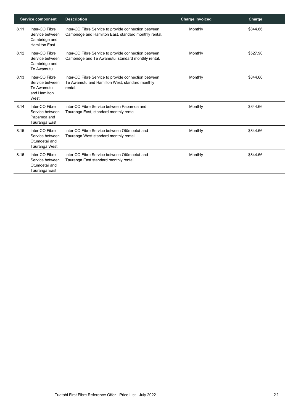|      | <b>Service component</b>                                                   | <b>Description</b>                                                                                                | <b>Charge Invoiced</b> | Charge   |
|------|----------------------------------------------------------------------------|-------------------------------------------------------------------------------------------------------------------|------------------------|----------|
| 8.11 | Inter-CO Fibre<br>Service between<br>Cambridge and<br><b>Hamilton East</b> | Inter-CO Fibre Service to provide connection between<br>Cambridge and Hamilton East, standard monthly rental.     | Monthly                | \$844.66 |
| 8.12 | Inter-CO Fibre<br>Service between<br>Cambridge and<br>Te Awamutu           | Inter-CO Fibre Service to provide connection between<br>Cambridge and Te Awamutu, standard monthly rental.        | Monthly                | \$527.90 |
| 8.13 | Inter-CO Fibre<br>Service between<br>Te Awamutu<br>and Hamilton<br>West    | Inter-CO Fibre Service to provide connection between<br>Te Awamutu and Hamilton West, standard monthly<br>rental. | Monthly                | \$844.66 |
| 8.14 | Inter-CO Fibre<br>Service between<br>Papamoa and<br>Tauranga East          | Inter-CO Fibre Service between Papamoa and<br>Tauranga East, standard monthly rental.                             | Monthly                | \$844.66 |
| 8.15 | Inter-CO Fibre<br>Service between<br>Otūmoetai and<br>Tauranga West        | Inter-CO Fibre Service between Otūmoetai and<br>Tauranga West standard monthly rental.                            | Monthly                | \$844.66 |
| 8.16 | Inter-CO Fibre<br>Service between<br>Otūmoetai and<br>Tauranga East        | Inter-CO Fibre Service between Otūmoetai and<br>Tauranga East standard monthly rental.                            | Monthly                | \$844.66 |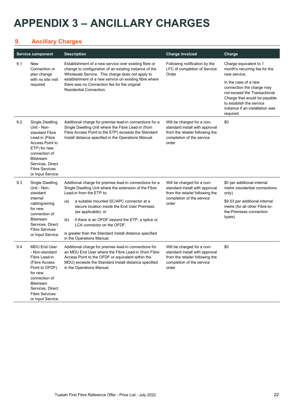## <span id="page-21-0"></span>**APPENDIX 3 – ANCILLARY CHARGES**

#### <span id="page-21-1"></span>**9. Ancillary Charges**

|     | <b>Service component</b>                                                                                                                                                                                    | <b>Description</b>                                                                                                                                                                                                                                     | <b>Charge invoiced</b>                                                                                                                | Charge                                                                                                                                                                                        |
|-----|-------------------------------------------------------------------------------------------------------------------------------------------------------------------------------------------------------------|--------------------------------------------------------------------------------------------------------------------------------------------------------------------------------------------------------------------------------------------------------|---------------------------------------------------------------------------------------------------------------------------------------|-----------------------------------------------------------------------------------------------------------------------------------------------------------------------------------------------|
| 9.1 | <b>New</b><br>Connection or<br>plan change                                                                                                                                                                  | Establishment of a new service over existing fibre or<br>change to configuration of an existing instance of the<br>Wholesale Service. This charge does not apply to                                                                                    | Following notification by the<br>LFC of completion of Service<br>Order                                                                | Charge equivalent to 1<br>month's recurring fee for the<br>new service.                                                                                                                       |
|     | with no site visit<br>required                                                                                                                                                                              | establishment of a new service on existing fibre where<br>there was no Connection fee for the original<br><b>Residential Connection.</b>                                                                                                               |                                                                                                                                       | In the case of a new<br>connection the charge may<br>not exceed the Transactional<br>Charge that would be payable<br>to establish the service<br>instance if an installation was<br>required. |
| 9.2 | Single Dwelling<br>Unit - Non-<br>standard Fibre<br>Lead-in (Fibre<br>Access Point to<br>ETP) for new<br>connection of<br><b>Bitstream</b><br>Services, Direct<br><b>Fibre Services</b><br>or Input Service | Additional charge for premise lead-in connections for a<br>Single Dwelling Unit where the Fibre Lead-in (from<br>Fibre Access Point to the ETP) exceeds the Standard<br>Install distance specified in the Operations Manual.                           | Will be charged for a non-<br>standard install with approval<br>from the retailer following the<br>completion of the service<br>order | \$0                                                                                                                                                                                           |
| 9.3 | Single Dwelling<br>Unit - Non-<br>standard<br>internal<br>cabling/wiring<br>for new<br>connection of<br><b>Bitstream</b><br>Services. Direct<br><b>Fibre Services</b><br>or Input Service                   | Additional charge for premise lead-in connections for a<br>Single Dwelling Unit where the extension of the Fibre<br>Lead-in from the ETP to:                                                                                                           | Will be charged for a non-<br>standard install with approval<br>from the retailer following the<br>completion of the service<br>order | \$0 per additional internal<br>metre (residential connections<br>only)                                                                                                                        |
|     |                                                                                                                                                                                                             | a suitable mounted SC/APC connector at a<br>(a)<br>secure location inside the End User Premises<br>(as applicable); or                                                                                                                                 |                                                                                                                                       | \$9.53 per additional internal<br>metre (for all other Fibre-to-<br>the-Premises connection                                                                                                   |
|     |                                                                                                                                                                                                             | if there is an OFDF beyond the ETP, a splice or<br>(b)<br>LCA connector on the OFDF,                                                                                                                                                                   |                                                                                                                                       | types)                                                                                                                                                                                        |
|     |                                                                                                                                                                                                             | is greater than the Standard Install distance specified<br>in the Operations Manual.                                                                                                                                                                   |                                                                                                                                       |                                                                                                                                                                                               |
| 9.4 | <b>MDU End User</b><br>- Non-standard<br>Fibre Lead-in<br>(Fibre Access<br>Point to OFDF)<br>for new<br>connection of<br><b>Bitstream</b><br>Services, Direct<br><b>Fibre Services</b><br>or Input Service  | Additional charge for premise lead-in connections for<br>an MDU End User where the Fibre Lead-in (from Fibre<br>Access Point to the OFDF or equivalent within the<br>MDU) exceeds the Standard Install distance specified<br>in the Operations Manual. | Will be charged for a non-<br>standard install with approval<br>from the retailer following the<br>completion of the service<br>order | \$0                                                                                                                                                                                           |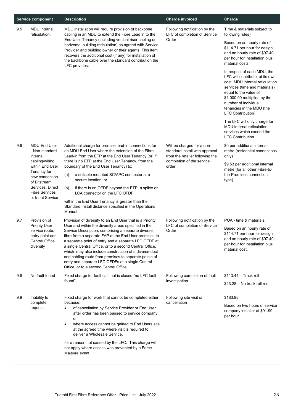|     | <b>Service component</b>                                                | <b>Description</b>                                                                                                                                                                                                                                                                                                                                                                                                                             | <b>Charge invoiced</b>                                                                          | Charge                                                                                                                                                                                                                                                                 |
|-----|-------------------------------------------------------------------------|------------------------------------------------------------------------------------------------------------------------------------------------------------------------------------------------------------------------------------------------------------------------------------------------------------------------------------------------------------------------------------------------------------------------------------------------|-------------------------------------------------------------------------------------------------|------------------------------------------------------------------------------------------------------------------------------------------------------------------------------------------------------------------------------------------------------------------------|
| 9.5 | <b>MDU</b> internal<br>reticulation.                                    | MDU installation will require provision of backbone<br>cabling in an MDU to extend the Fibre Lead in to the                                                                                                                                                                                                                                                                                                                                    | Following notification by the<br>LFC of completion of Service                                   | Time & materials subject to<br>following rules):                                                                                                                                                                                                                       |
|     |                                                                         | End-User Tenancy (including vertical riser cabling or<br>horizontal building reticulation) as agreed with Service<br>Provider and building owner or their agents. This item<br>recovers the additional cost (if any) for installation of<br>the backbone cable over the standard contribution the<br>LFC provides.                                                                                                                             | Order                                                                                           | Based on an hourly rate of<br>\$114.71 per hour for design<br>and an hourly rate of \$97.40<br>per hour for installation plus<br>material costs                                                                                                                        |
|     |                                                                         |                                                                                                                                                                                                                                                                                                                                                                                                                                                |                                                                                                 | In respect of each MDU, the<br>LFC will contribute, at its own<br>cost, MDU internal reticulation<br>services (time and materials)<br>equal to the value of<br>\$1,000.00 multiplied by the<br>number of individual<br>tenancies in the MDU (the<br>LFC Contribution). |
|     |                                                                         |                                                                                                                                                                                                                                                                                                                                                                                                                                                |                                                                                                 | The LFC will only charge for<br>MDU internal reticulation<br>services which exceed the<br><b>LFC Contribution.</b>                                                                                                                                                     |
| 9.6 | <b>MDU End User</b><br>- Non-standard<br>internal                       | Additional charge for premise lead-in connections for<br>an MDU End User where the extension of the Fibre<br>Lead-in from the ETP at the End User Tenancy (or, if                                                                                                                                                                                                                                                                              | Will be charged for a non-<br>standard install with approval<br>from the retailer following the | \$0 per additional internal<br>metre (residential connections<br>only)                                                                                                                                                                                                 |
|     | cabling/wiring<br>within End User                                       | there is no ETP at the End User Tenancy, from the<br>boundary of the End User Tenancy) to:                                                                                                                                                                                                                                                                                                                                                     | completion of the service<br>order                                                              | \$9.53 per additional internal<br>metre (for all other Fibre-to-                                                                                                                                                                                                       |
|     | Tenancy for<br>new connection<br>of Bitstream                           | a suitable mounted SC/APC connector at a<br>(a)<br>secure location; or                                                                                                                                                                                                                                                                                                                                                                         |                                                                                                 | the-Premises connection<br>type)                                                                                                                                                                                                                                       |
|     | Services, Direct<br><b>Fibre Services</b>                               | if there is an OFDF beyond the ETP, a splice or<br>(b)<br>LCA connector on the LFC OFDF,                                                                                                                                                                                                                                                                                                                                                       |                                                                                                 |                                                                                                                                                                                                                                                                        |
|     | or Input Service                                                        | within the End User Tenancy is greater than the<br>Standard Install distance specified in the Operations<br>Manual.                                                                                                                                                                                                                                                                                                                            |                                                                                                 |                                                                                                                                                                                                                                                                        |
| 9.7 | Provision of<br><b>Priority User</b>                                    | Provision of diversity to an End User that is a Priority<br>User and within the diversity areas specified in the                                                                                                                                                                                                                                                                                                                               | Following notification by the<br>LFC of completion of Service                                   | POA - time & materials.                                                                                                                                                                                                                                                |
|     | service route.<br>entry point and<br><b>Central Office</b><br>diversity | Service Description, comprising a separate diverse<br>fibre from a separate FAP at the End User premises to<br>a separate point of entry and a separate LFC OFDF at<br>a single Central Office, or to a second Central Office,<br>which may also include construction of a diverse duct<br>and cabling route from premises to separate points of<br>entry and separate LFC OFDFs at a single Central<br>Office, or to a second Central Office. | Order                                                                                           | Based on an hourly rate of<br>\$114.71 per hour for design<br>and an hourly rate of \$97.40<br>per hour for installation plus<br>material cost.                                                                                                                        |
| 9.8 | No fault found                                                          | Fixed charge for fault call that is closed "no LFC fault<br>found".                                                                                                                                                                                                                                                                                                                                                                            | Following completion of fault                                                                   | $$113.44 -$ Truck roll                                                                                                                                                                                                                                                 |
|     |                                                                         |                                                                                                                                                                                                                                                                                                                                                                                                                                                | investigation                                                                                   | $$43.28 - No$ truck roll req.                                                                                                                                                                                                                                          |
| 9.9 | Inability to<br>complete                                                | Fixed charge for work that cannot be completed either<br>because:                                                                                                                                                                                                                                                                                                                                                                              | Following site visit or<br>cancellation                                                         | \$183.98                                                                                                                                                                                                                                                               |
|     | request.                                                                | of cancellation by Service Provider or End User<br>after order has been passed to service company,<br>or                                                                                                                                                                                                                                                                                                                                       |                                                                                                 | Based on two hours of service<br>company installer at \$91.99<br>per hour                                                                                                                                                                                              |
|     |                                                                         | where access cannot be gained to End Users site<br>at the agreed time where visit is required to<br>deliver a Wholesale Service.                                                                                                                                                                                                                                                                                                               |                                                                                                 |                                                                                                                                                                                                                                                                        |
|     |                                                                         | for a reason not caused by the LFC. This charge will<br>not apply where access was prevented by a Force<br>Majeure event.                                                                                                                                                                                                                                                                                                                      |                                                                                                 |                                                                                                                                                                                                                                                                        |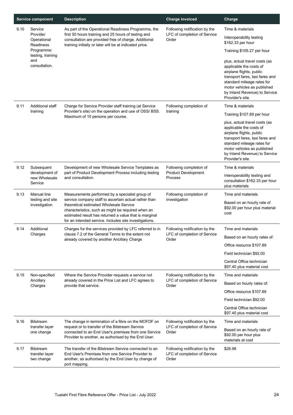|      | <b>Service component</b>                         | <b>Description</b>                                                                                                                                                                                                                                                         | <b>Charge invoiced</b>                                                 | Charge                                                                                                                                                                                                                                    |
|------|--------------------------------------------------|----------------------------------------------------------------------------------------------------------------------------------------------------------------------------------------------------------------------------------------------------------------------------|------------------------------------------------------------------------|-------------------------------------------------------------------------------------------------------------------------------------------------------------------------------------------------------------------------------------------|
| 9.10 | Service                                          | As part of the Operational Readiness Programme, the                                                                                                                                                                                                                        | Following notification by the                                          | Time & materials                                                                                                                                                                                                                          |
|      | Provider<br>Operational<br><b>Readiness</b>      | first 50 hours training and 25 hours of testing and<br>consultation are provided free of charge. Additional<br>training initially or later will be at indicated price.                                                                                                     | LFC of completion of Service<br>Order                                  | Interoperability testing<br>\$162.33 per hour                                                                                                                                                                                             |
|      | Programme:                                       |                                                                                                                                                                                                                                                                            |                                                                        | Training \$105.27 per hour                                                                                                                                                                                                                |
|      | testing, training<br>and<br>consultation.        |                                                                                                                                                                                                                                                                            |                                                                        | plus, actual travel costs (as<br>applicable the costs of<br>airplane flights, public<br>transport fares, taxi fares and<br>standard mileage rates for<br>motor vehicles as published<br>by Inland Revenue) to Service<br>Provider's site. |
| 9.11 | <b>Additional staff</b>                          | Charge for Service Provider staff training (at Service                                                                                                                                                                                                                     | Following completion of                                                | Time & materials                                                                                                                                                                                                                          |
|      | training                                         | Provider's site) on the operation and use of OSS/ BSS.<br>Maximum of 10 persons per course.                                                                                                                                                                                | training                                                               | Training \$107.89 per hour                                                                                                                                                                                                                |
|      |                                                  |                                                                                                                                                                                                                                                                            |                                                                        | plus, actual travel costs (as<br>applicable the costs of<br>airplane flights, public<br>transport fares, taxi fares and<br>standard mileage rates for<br>motor vehicles as published<br>by Inland Revenue) to Service<br>Provider's site. |
| 9.12 | Subsequent                                       | Development of new Wholesale Service Templates as                                                                                                                                                                                                                          | Following completion of                                                | Time & materials                                                                                                                                                                                                                          |
|      | development of<br>new Wholesale<br>Service       | part of Product Development Process including testing<br>and consultation.                                                                                                                                                                                                 | <b>Product Development</b><br>Process                                  | Interoperability testing and<br>consultation \$162.33 per hour<br>plus materials                                                                                                                                                          |
| 9.13 | Manual line                                      | Measurements performed by a specialist group of                                                                                                                                                                                                                            | Following completion of                                                | Time and materials                                                                                                                                                                                                                        |
|      | testing and site<br>investigation                | service company staff to ascertain actual rather than<br>theoretical estimated Wholesale Service<br>characteristics, such as might be required when an<br>estimated result has returned a value that is marginal<br>for an intended service. Includes site investigations. | investigation                                                          | Based on an hourly rate of<br>\$92.00 per hour plus material<br>cost                                                                                                                                                                      |
| 9.14 | Additional                                       | Charges for the services provided by LFC referred to in                                                                                                                                                                                                                    | Following notification by the                                          | Time and materials                                                                                                                                                                                                                        |
|      | Charges                                          | clause 7.2 of the General Terms to the extent not<br>already covered by another Ancillary Charge                                                                                                                                                                           | LFC of completion of Service<br>Order                                  | Based on an hourly rates of:                                                                                                                                                                                                              |
|      |                                                  |                                                                                                                                                                                                                                                                            |                                                                        | Office resource \$107.89                                                                                                                                                                                                                  |
|      |                                                  |                                                                                                                                                                                                                                                                            |                                                                        | Field technician \$92.00                                                                                                                                                                                                                  |
|      |                                                  |                                                                                                                                                                                                                                                                            |                                                                        | Central Office technician<br>\$97.40 plus material cost                                                                                                                                                                                   |
| 9.15 | Non-specified                                    | Where the Service Provider requests a service not                                                                                                                                                                                                                          | Following notification by the                                          | Time and materials                                                                                                                                                                                                                        |
|      | Ancillary<br>Charges                             | already covered in the Price List and LFC agrees to<br>provide that service.                                                                                                                                                                                               | LFC of completion of Service<br>Order                                  | Based on hourly rates of:                                                                                                                                                                                                                 |
|      |                                                  |                                                                                                                                                                                                                                                                            |                                                                        | Office resource \$107.89                                                                                                                                                                                                                  |
|      |                                                  |                                                                                                                                                                                                                                                                            |                                                                        | Field technician \$92.00                                                                                                                                                                                                                  |
|      |                                                  |                                                                                                                                                                                                                                                                            |                                                                        | Central Office technician<br>\$97.40 plus material cost                                                                                                                                                                                   |
| 9.16 | <b>Bitstream</b>                                 | The change in termination of a fibre on the MOFDF on                                                                                                                                                                                                                       | Following notification by the                                          | Time and materials                                                                                                                                                                                                                        |
|      | transfer layer<br>one change                     | request or to transfer of the Bitstream Service<br>connected to an End User's premises from one Service<br>Provider to another, as authorised by the End User.                                                                                                             | LFC of completion of Service<br>Order                                  | Based on an hourly rate of<br>\$92.00 per hour plus<br>materials at cost                                                                                                                                                                  |
| 9.17 | <b>Bitstream</b><br>transfer layer<br>two change | The transfer of the Bitstream Service connected to an<br>End User's Premises from one Service Provider to<br>another, as authorised by the End User by change of<br>port mapping.                                                                                          | Following notification by the<br>LFC of completion of Service<br>Order | \$26.98                                                                                                                                                                                                                                   |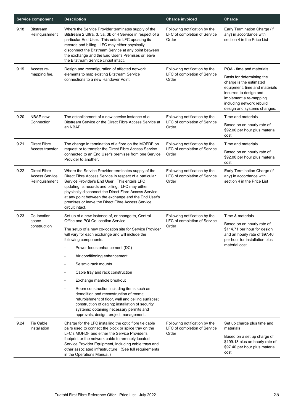| <b>Service component</b> |                                                                | <b>Description</b>                                                                                                                                                                                                                                                                                                                                                                                          | <b>Charge invoiced</b>                                                  | Charge                                                                                                                                                                                                                            |
|--------------------------|----------------------------------------------------------------|-------------------------------------------------------------------------------------------------------------------------------------------------------------------------------------------------------------------------------------------------------------------------------------------------------------------------------------------------------------------------------------------------------------|-------------------------------------------------------------------------|-----------------------------------------------------------------------------------------------------------------------------------------------------------------------------------------------------------------------------------|
| 9.18                     | <b>Bitstream</b><br>Relinquishment                             | Where the Service Provider terminates supply of the<br>Bitstream 2 Ultra, 3, 3a, 3b or 4 Service in respect of a<br>particular End User. This entails LFC updating its<br>records and billing. LFC may either physically<br>disconnect the Bitstream Service at any point between<br>the exchange and the End User's Premises or leave<br>the Bitstream Service circuit intact.                             | Following notification by the<br>LFC of completion of Service<br>Order  | Early Termination Charge (if<br>any) in accordance with<br>section 4 in the Price List                                                                                                                                            |
| 9.19                     | Access re-<br>mapping fee.                                     | Design and reconfiguration of affected network<br>elements to map existing Bitstream Service<br>connections to a new Handover Point.                                                                                                                                                                                                                                                                        | Following notification by the<br>LFC of completion of Service<br>Order  | POA - time and materials<br>Basis for determining the<br>charge is the estimated<br>equipment, time and materials<br>incurred to design and<br>implement a re-mapping<br>including network rebuild<br>design and systems changes. |
| 9.20                     | NBAP new<br>Connection                                         | The establishment of a new service instance of a<br>Bitstream Service or the Direct Fibre Access Service at<br>an NBAP.                                                                                                                                                                                                                                                                                     | Following notification by the<br>LFC of completion of Service<br>Order. | Time and materials<br>Based on an hourly rate of<br>\$92.00 per hour plus material<br>cost                                                                                                                                        |
| 9.21                     | <b>Direct Fibre</b>                                            | The change in termination of a fibre on the MOFDF on                                                                                                                                                                                                                                                                                                                                                        | Following notification by the                                           | Time and materials                                                                                                                                                                                                                |
|                          | Access transfer                                                | request or to transfer the Direct Fibre Access Service<br>connected to an End User's premises from one Service<br>Provider to another.                                                                                                                                                                                                                                                                      | LFC of completion of Service<br>Order                                   | Based on an hourly rate of<br>\$92.00 per hour plus material<br>cost                                                                                                                                                              |
| 9.22                     | <b>Direct Fibre</b><br><b>Access Service</b><br>Relinquishment | Where the Service Provider terminates supply of the<br>Direct Fibre Access Service in respect of a particular<br>Service Provider's End User. This entails LFC<br>updating its records and billing. LFC may either<br>physically disconnect the Direct Fibre Access Service<br>at any point between the exchange and the End User's<br>premises or leave the Direct Fibre Access Service<br>circuit intact. | Following notification by the<br>LFC of completion of Service<br>Order  | Early Termination Charge (if<br>any) in accordance with<br>section 4 in the Price List                                                                                                                                            |
| 9.23                     | Co-location<br>space                                           | Set up of a new instance of, or change to, Central<br>Office and POI Co-location Service.                                                                                                                                                                                                                                                                                                                   | Following notification by the<br>LFC of completion of Service           | Time & materials                                                                                                                                                                                                                  |
|                          | construction                                                   | The setup of a new co-location site for Service Provider<br>will vary for each exchange and will include the<br>following components:                                                                                                                                                                                                                                                                       | Order                                                                   | Based on an hourly rate of<br>\$114.71 per hour for design<br>and an hourly rate of \$97.40<br>per hour for installation plus                                                                                                     |
|                          |                                                                | Power feeds enhancement (DC)                                                                                                                                                                                                                                                                                                                                                                                |                                                                         | material cost.                                                                                                                                                                                                                    |
|                          |                                                                | Air conditioning enhancement                                                                                                                                                                                                                                                                                                                                                                                |                                                                         |                                                                                                                                                                                                                                   |
|                          |                                                                | Seismic rack mounts                                                                                                                                                                                                                                                                                                                                                                                         |                                                                         |                                                                                                                                                                                                                                   |
|                          |                                                                | Cable tray and rack construction                                                                                                                                                                                                                                                                                                                                                                            |                                                                         |                                                                                                                                                                                                                                   |
|                          |                                                                | Exchange manhole breakout                                                                                                                                                                                                                                                                                                                                                                                   |                                                                         |                                                                                                                                                                                                                                   |
|                          |                                                                | Room construction including items such as<br>demolition and reconstruction of rooms;<br>refurbishment of floor, wall and ceiling surfaces;<br>construction of caging; installation of security<br>systems; obtaining necessary permits and<br>approvals; design; project management.                                                                                                                        |                                                                         |                                                                                                                                                                                                                                   |
| 9.24                     | Tie Cable<br>installation                                      | Charge for the LFC installing the optic fibre tie cable<br>pairs used to connect the block or splice tray on the<br>LFC's MOFDF and either the Service Provider's                                                                                                                                                                                                                                           | Following notification by the<br>LFC of completion of Service<br>Order  | Set up charge plus time and<br>materials<br>Based on a set up charge of                                                                                                                                                           |
|                          |                                                                | footprint or the network cable to remotely located<br>Service Provider Equipment, including cable trays and<br>other associated infrastructure. (See full requirements<br>in the Operations Manual.)                                                                                                                                                                                                        |                                                                         | \$199.13 plus an hourly rate of<br>\$97.40 per hour plus material<br>cost                                                                                                                                                         |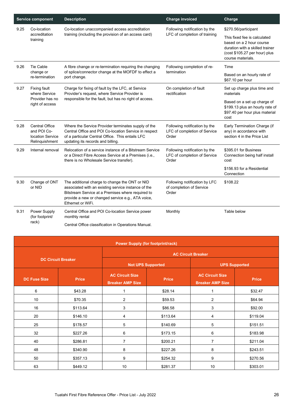|      | <b>Service component</b>                                                   | <b>Description</b>                                                                                                                                                                                                                   | <b>Charge invoiced</b>                                                 | Charge                                                                                                                                            |
|------|----------------------------------------------------------------------------|--------------------------------------------------------------------------------------------------------------------------------------------------------------------------------------------------------------------------------------|------------------------------------------------------------------------|---------------------------------------------------------------------------------------------------------------------------------------------------|
| 9.25 | Co-location                                                                | Co-location unaccompanied access accreditation                                                                                                                                                                                       | Following notification by the                                          | \$270.56/participant                                                                                                                              |
|      | accreditation<br>training                                                  | training (including the provision of an access card)                                                                                                                                                                                 | LFC of completion of training                                          | This fixed fee is calculated<br>based on a 2 hour course<br>duration with a skilled trainer<br>(cost \$105.27 per hour) plus<br>course materials. |
| 9.26 | <b>Tie Cable</b>                                                           | A fibre change or re-termination requiring the changing                                                                                                                                                                              | Following completion of re-                                            | Time                                                                                                                                              |
|      | change or<br>re-termination                                                | of splice/connector change at the MOFDF to effect a<br>port change.                                                                                                                                                                  | termination                                                            | Based on an hourly rate of<br>\$67.10 per hour                                                                                                    |
| 9.27 | <b>Fixing fault</b><br>where Service                                       | Charge for fixing of fault by the LFC, at Service<br>Provider's request, where Service Provider is                                                                                                                                   | On completion of fault<br>rectification                                | Set up charge plus time and<br>materials                                                                                                          |
|      | Provider has no<br>right of access                                         | responsible for the fault, but has no right of access.                                                                                                                                                                               |                                                                        | Based on a set up charge of<br>\$199.13 plus an hourly rate of<br>\$97.40 per hour plus material<br>cost                                          |
| 9.28 | <b>Central Office</b><br>and POI Co-<br>location Service<br>Relinquishment | Where the Service Provider terminates supply of the<br>Central Office and POI Co-location Service in respect<br>of a particular Central Office. This entails LFC<br>updating its records and billing.                                | Following notification by the<br>LFC of completion of Service<br>Order | Early Termination Charge (if<br>any) in accordance with<br>section 4 in the Price List                                                            |
| 9.29 | Internal removal                                                           | Relocation of a service instance of a Bitstream Service<br>or a Direct Fibre Access Service at a Premises (i.e.,<br>there is no Wholesale Service transfer).                                                                         | Following notification by the<br>LFC of completion of Service<br>Order | \$395.01 for Business<br>Connection being half install<br>cost                                                                                    |
|      |                                                                            |                                                                                                                                                                                                                                      |                                                                        | \$156.93 for a Residential<br>Connection                                                                                                          |
| 9.30 | Change of ONT<br>or NID                                                    | The additional charge to change the ONT or NID<br>associated with an existing service instance of the<br>Bitstream Service at a Premises where required to<br>provide a new or changed service e.g., ATA voice,<br>Ethernet or WiFi. | Following notification by LFC<br>of completion of Service<br>Order     | \$108.22                                                                                                                                          |
| 9.31 | Power Supply<br>(for footprint/                                            | Central Office and POI Co-location Service power<br>monthly rental                                                                                                                                                                   | Monthly                                                                | Table below                                                                                                                                       |
|      | rack)                                                                      | Central Office classification in Operations Manual.                                                                                                                                                                                  |                                                                        |                                                                                                                                                   |

| <b>Power Supply (for footprint/rack)</b> |                           |                                                   |                          |                                                   |                      |  |  |
|------------------------------------------|---------------------------|---------------------------------------------------|--------------------------|---------------------------------------------------|----------------------|--|--|
|                                          | <b>AC Circuit Breaker</b> |                                                   |                          |                                                   |                      |  |  |
| <b>DC Circuit Breaker</b>                |                           |                                                   | <b>Not UPS Supported</b> |                                                   | <b>UPS Supported</b> |  |  |
| <b>DC Fuse Size</b>                      | <b>Price</b>              | <b>AC Circuit Size</b><br><b>Breaker AMP Size</b> | <b>Price</b>             | <b>AC Circuit Size</b><br><b>Breaker AMP Size</b> | <b>Price</b>         |  |  |
| 6                                        | \$43.28                   | 1                                                 | \$28.14                  | 1                                                 | \$32.47              |  |  |
| 10                                       | \$70.35                   | $\overline{2}$                                    | \$59.53                  | $\overline{2}$                                    | \$64.94              |  |  |
| 16                                       | \$113.64                  | 3                                                 | \$86.58                  | 3                                                 | \$92.00              |  |  |
| 20                                       | \$146.10                  | 4                                                 | \$113.64                 | 4                                                 | \$119.04             |  |  |
| 25                                       | \$178.57                  | 5                                                 | \$140.69                 | 5                                                 | \$151.51             |  |  |
| 32                                       | \$227.26                  | 6                                                 | \$173.15                 | 6                                                 | \$183.98             |  |  |
| 40                                       | \$286.81                  | $\overline{7}$                                    | \$200.21                 | $\overline{7}$                                    | \$211.04             |  |  |
| 48                                       | \$340.90                  | 8                                                 | \$227.26                 | 8                                                 | \$243.51             |  |  |
| 50                                       | \$357.13                  | 9                                                 | \$254.32                 | 9                                                 | \$270.56             |  |  |
| 63                                       | \$449.12                  | 10                                                | \$281.37                 | 10                                                | \$303.01             |  |  |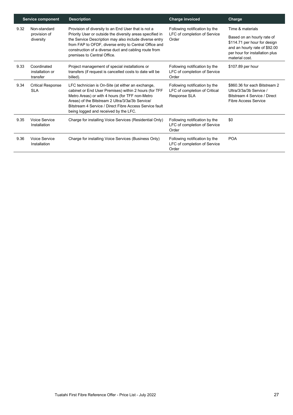|      | <b>Service component</b>                   | <b>Description</b>                                                                                                                                                                                                                                                                                                          | <b>Charge invoiced</b>                                                         | Charge                                                                                                                                                              |
|------|--------------------------------------------|-----------------------------------------------------------------------------------------------------------------------------------------------------------------------------------------------------------------------------------------------------------------------------------------------------------------------------|--------------------------------------------------------------------------------|---------------------------------------------------------------------------------------------------------------------------------------------------------------------|
| 9.32 | Non-standard<br>provision of<br>diversity  | Provision of diversity to an End User that is not a<br>Priority User or outside the diversity areas specified in<br>the Service Description may also include diverse entry<br>from FAP to OFDF, diverse entry to Central Office and<br>construction of a diverse duct and cabling route from<br>premises to Central Office. | Following notification by the<br>LFC of completion of Service<br>Order         | Time & materials<br>Based on an hourly rate of<br>\$114.71 per hour for design<br>and an hourly rate of \$92.00<br>per hour for installation plus<br>material cost. |
| 9.33 | Coordinated<br>installation or<br>transfer | Project management of special installations or<br>transfers (if request is cancelled costs to date will be<br>billed).                                                                                                                                                                                                      | Following notification by the<br>LFC of completion of Service<br>Order         | \$107.89 per hour                                                                                                                                                   |
| 9.34 | <b>Critical Response</b><br>SI A           | LFC technician is On-Site (at either an exchange,<br>cabinet or End User Premises) within 2 hours (for TFF<br>Metro Areas) or with 4 hours (for TFF non-Metro<br>Areas) of the Bitstream 2 Ultra/3/3a/3b Service/<br>Bitstream 4 Service / Direct Fibre Access Service fault<br>being logged and received by the LFC.       | Following notification by the<br>LFC of completion of Critical<br>Response SLA | \$860.36 for each Bitstream 2<br>Ultra/3/3a/3b Service /<br>Bitstream 4 Service / Direct<br><b>Fibre Access Service</b>                                             |
| 9.35 | Voice Service<br>Installation              | Charge for installing Voice Services (Residential Only)                                                                                                                                                                                                                                                                     | Following notification by the<br>LFC of completion of Service<br>Order         | \$0                                                                                                                                                                 |
| 9.36 | Voice Service<br>Installation              | Charge for installing Voice Services (Business Only)                                                                                                                                                                                                                                                                        | Following notification by the<br>LFC of completion of Service<br>Order         | <b>POA</b>                                                                                                                                                          |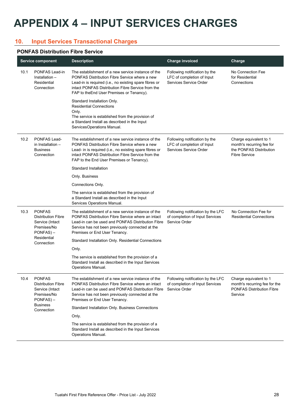## <span id="page-27-0"></span>**APPENDIX 4 – INPUT SERVICES CHARGES**

#### <span id="page-27-1"></span>**10. Input Services Transactional Charges**

#### **PONFAS Distribution Fibre Service**

|      | <b>Service component</b>                                                                     | <b>Description</b>                                                                                                                                                                                                                                               | <b>Charge invoiced</b>                                                                | Charge                                                                                                 |
|------|----------------------------------------------------------------------------------------------|------------------------------------------------------------------------------------------------------------------------------------------------------------------------------------------------------------------------------------------------------------------|---------------------------------------------------------------------------------------|--------------------------------------------------------------------------------------------------------|
| 10.1 | PONFAS Lead-in<br>Installation -<br>Residential<br>Connection                                | The establishment of a new service instance of the<br>PONFAS Distribution Fibre Service where a new<br>Lead-in is required (i.e., no existing spare fibres or<br>intact PONFAS Distribution Fibre Service from the<br>FAP to the End User Premises or Tenancy).  | Following notification by the<br>LFC of completion of Input<br>Services Service Order | No Connection Fee<br>for Residential<br>Connections                                                    |
|      |                                                                                              | Standard Installation Only.<br><b>Residential Connections</b><br>Only.<br>The service is established from the provision of<br>a Standard Install as described in the Input<br>ServicesOperations Manual.                                                         |                                                                                       |                                                                                                        |
| 10.2 | PONFAS Lead-<br>in Installation -<br><b>Business</b><br>Connection                           | The establishment of a new service instance of the<br>PONFAS Distribution Fibre Service where a new<br>Lead- in is required (i.e., no existing spare fibres or<br>intact PONFAS Distribution Fibre Service from the<br>FAP to the End User Premises or Tenancy). | Following notification by the<br>LFC of completion of Input<br>Services Service Order | Charge equivalent to 1<br>month's recurring fee for<br>the PONFAS Distribution<br><b>Fibre Service</b> |
|      |                                                                                              | Standard Installation                                                                                                                                                                                                                                            |                                                                                       |                                                                                                        |
|      |                                                                                              | Only. Business                                                                                                                                                                                                                                                   |                                                                                       |                                                                                                        |
|      |                                                                                              | Connections Only.                                                                                                                                                                                                                                                |                                                                                       |                                                                                                        |
|      |                                                                                              | The service is established from the provision of<br>a Standard Install as described in the Input<br>Services Operations Manual.                                                                                                                                  |                                                                                       |                                                                                                        |
| 10.3 | <b>PONFAS</b><br><b>Distribution Fibre</b><br>Service (Intact<br>Premises/No<br>$PONFAS$ ) – | The establishment of a new service instance of the<br>PONFAS Distribution Fibre Service where an intact<br>Lead-in can be used and PONFAS Distribution Fibre<br>Service has not been previously connected at the<br>Premises or End User Tenancy.                | Following notification by the LFC<br>of completion of Input Services<br>Service Order | No Connection Fee for<br><b>Residential Connections</b>                                                |
|      | Residential<br>Connection                                                                    | Standard Installation Only. Residential Connections                                                                                                                                                                                                              |                                                                                       |                                                                                                        |
|      |                                                                                              | Only.                                                                                                                                                                                                                                                            |                                                                                       |                                                                                                        |
|      |                                                                                              | The service is established from the provision of a<br>Standard Install as described in the Input Services<br>Operations Manual.                                                                                                                                  |                                                                                       |                                                                                                        |
| 10.4 | <b>PONFAS</b><br><b>Distribution Fibre</b><br>Service (Intact<br>Premises/No<br>$PONFAS$ ) – | The establishment of a new service instance of the<br>PONFAS Distribution Fibre Service where an intact<br>Lead-in can be used and PONFAS Distribution Fibre<br>Service has not been previously connected at the<br>Premises or End User Tenancy.                | Following notification by the LFC<br>of completion of Input Services<br>Service Order | Charge equivalent to 1<br>month's recurring fee for the<br><b>PONFAS Distribution Fibre</b><br>Service |
|      | <b>Business</b><br>Connection                                                                | Standard Installation Only. Business Connections                                                                                                                                                                                                                 |                                                                                       |                                                                                                        |
|      |                                                                                              | Only.                                                                                                                                                                                                                                                            |                                                                                       |                                                                                                        |
|      |                                                                                              | The service is established from the provision of a<br>Standard Install as described in the Input Services<br>Operations Manual.                                                                                                                                  |                                                                                       |                                                                                                        |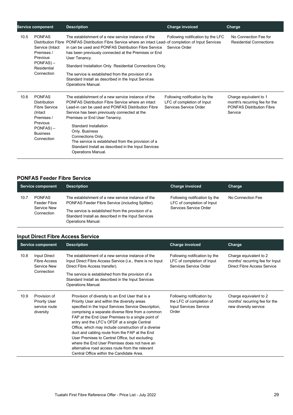|      | <b>Service component</b>                                                                                                                           | <b>Description</b>                                                                                                                                                                                                                                                                                                                                                                                                                                                             | <b>Charge invoiced</b>                                                                | Charge                                                                                                 |
|------|----------------------------------------------------------------------------------------------------------------------------------------------------|--------------------------------------------------------------------------------------------------------------------------------------------------------------------------------------------------------------------------------------------------------------------------------------------------------------------------------------------------------------------------------------------------------------------------------------------------------------------------------|---------------------------------------------------------------------------------------|--------------------------------------------------------------------------------------------------------|
| 10.5 | <b>PONFAS</b><br><b>Distribution Fibre</b><br>Service (Intact<br>Premises /<br>Previous<br>$PONFAS$ ) –<br>Residential<br>Connection               | The establishment of a new service instance of the<br>PONFAS Distribution Fibre Service where an intact Lead- of completion of Input Services<br>in can be used and PONFAS Distribution Fibre Service<br>has been previously connected at the Premises or End<br>User Tenancy.<br>Standard Installation Only. Residential Connections Only.<br>The service is established from the provision of a<br>Standard Install as described in the Input Services<br>Operations Manual. | Following notification by the LFC<br>Service Order                                    | No Connection Fee for<br><b>Residential Connections</b>                                                |
| 10.6 | <b>PONFAS</b><br><b>Distribution</b><br><b>Fibre Service</b><br>(Intact<br>Premises /<br>Previous<br>$PONFAS$ ) –<br><b>Business</b><br>Connection | The establishment of a new service instance of the<br>PONFAS Distribution Fibre Service where an intact<br>Lead-in can be used and PONFAS Distribution Fibre<br>Service has been previously connected at the<br>Premises or End User Tenancy.<br>Standard Installation<br>Only. Business<br>Connections Only.<br>The service is established from the provision of a<br>Standard Install as described in the Input Services<br>Operations Manual.                               | Following notification by the<br>LFC of completion of Input<br>Services Service Order | Charge equivalent to 1<br>month's recurring fee for the<br><b>PONFAS Distribution Fibre</b><br>Service |

#### **PONFAS Feeder Fibre Service**

|      | Service component                                          | <b>Description</b>                                                                                                                                                                                                                         | <b>Charge invoiced</b>                                                                | Charge            |
|------|------------------------------------------------------------|--------------------------------------------------------------------------------------------------------------------------------------------------------------------------------------------------------------------------------------------|---------------------------------------------------------------------------------------|-------------------|
| 10.7 | <b>PONFAS</b><br>Feeder Fibre<br>Service New<br>Connection | The establishment of a new service instance of the<br>PONFAS Feeder Fibre Service (including Splitter).<br>The service is established from the provision of a<br>Standard Install as described in the Input Services<br>Operations Manual. | Following notification by the<br>LFC of completion of Input<br>Services Service Order | No Connection Fee |

#### **Input Direct Fibre Access Service**

|      | <b>Service component</b>                                           | <b>Description</b>                                                                                                                                                                                                                                                                                                                                                                                                                                                                                                                                                                                                           | <b>Charge invoiced</b>                                                                   | Charge                                                                                   |
|------|--------------------------------------------------------------------|------------------------------------------------------------------------------------------------------------------------------------------------------------------------------------------------------------------------------------------------------------------------------------------------------------------------------------------------------------------------------------------------------------------------------------------------------------------------------------------------------------------------------------------------------------------------------------------------------------------------------|------------------------------------------------------------------------------------------|------------------------------------------------------------------------------------------|
| 10.8 | Input Direct<br><b>Fibre Access</b><br><b>Service New</b>          | The establishment of a new service instance of the<br>Input Direct Fibre Access Service (i.e., there is no Input<br>Direct Fibre Access transfer).                                                                                                                                                                                                                                                                                                                                                                                                                                                                           | Following notification by the<br>LFC of completion of Input<br>Services Service Order    | Charge equivalent to 2<br>months' recurring fee for Input<br>Direct Fibre Access Service |
|      | Connection                                                         | The service is established from the provision of a<br>Standard Install as described in the Input Services<br>Operations Manual.                                                                                                                                                                                                                                                                                                                                                                                                                                                                                              |                                                                                          |                                                                                          |
| 10.9 | Provision of<br><b>Priority User</b><br>service route<br>diversity | Provision of diversity to an End User that is a<br>Priority User and within the diversity areas<br>specified in the Input Services Service Description,<br>comprising a separate diverse fibre from a common<br>FAP at the End User Premises to a single point of<br>entry and the LFC's OFDF at a single Central<br>Office, which may include construction of a diverse<br>duct and cabling route from the FAP at the End<br>User Premises to Central Office, but excluding<br>where the End User Premises does not have an<br>alternative road access route from the relevant<br>Central Office within the Candidate Area. | Following notification by<br>the LFC of completion of<br>Input Services Service<br>Order | Charge equivalent to 2<br>months' recurring fee for the<br>new diversity service         |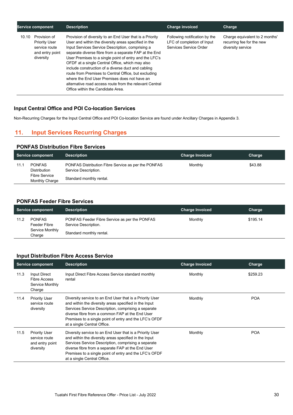| <b>Service component</b> |                                                                                       | <b>Description</b>                                                                                                                                                                                                                                                                                                                                                                                                                                                                                                                                                                                       | <b>Charge invoiced</b><br>Charge                                                      |                                                                                  |
|--------------------------|---------------------------------------------------------------------------------------|----------------------------------------------------------------------------------------------------------------------------------------------------------------------------------------------------------------------------------------------------------------------------------------------------------------------------------------------------------------------------------------------------------------------------------------------------------------------------------------------------------------------------------------------------------------------------------------------------------|---------------------------------------------------------------------------------------|----------------------------------------------------------------------------------|
| 10.10                    | Provision of<br><b>Priority User</b><br>service route<br>and entry point<br>diversity | Provision of diversity to an End User that is a Priority<br>User and within the diversity areas specified in the<br>Input Services Service Description, comprising a<br>separate diverse fibre from a separate FAP at the End<br>User Premises to a single point of entry and the LFC's<br>OFDF at a single Central Office, which may also<br>include construction of a diverse duct and cabling<br>route from Premises to Central Office, but excluding<br>where the End User Premises does not have an<br>alternative road access route from the relevant Central<br>Office within the Candidate Area. | Following notification by the<br>LFC of completion of Input<br>Services Service Order | Charge equivalent to 2 months'<br>recurring fee for the new<br>diversity service |

#### **Input Central Office and POI Co-location Services**

<span id="page-29-0"></span>Non-Recurring Charges for the Input Central Office and POI Co-location Service are found under Ancillary Charges in Appendix 3.

#### **11. Input Services Recurring Charges**

#### **PONFAS Distribution Fibre Services**

|      | <b>Service component</b>                                                       | <b>Description</b>                                                                                      | <b>Charge Invoiced</b> | Charge  |
|------|--------------------------------------------------------------------------------|---------------------------------------------------------------------------------------------------------|------------------------|---------|
| 11.1 | <b>PONFAS</b><br><b>Distribution</b><br><b>Fibre Service</b><br>Monthly Charge | PONFAS Distribution Fibre Service as per the PONFAS<br>Service Description.<br>Standard monthly rental. | Monthly                | \$43.88 |

#### **PONFAS Feeder Fibre Services**

|      | Service component                                          | <b>Description</b>                                                                                | <b>Charge Invoiced</b> | Charge   |
|------|------------------------------------------------------------|---------------------------------------------------------------------------------------------------|------------------------|----------|
| 11.2 | <b>PONFAS</b><br>Feeder Fibre<br>Service Monthly<br>Charge | PONFAS Feeder Fibre Service as per the PONFAS<br>Service Description.<br>Standard monthly rental. | Monthly                | \$195.14 |

#### **Input Distribution Fibre Access Service**

| <b>Service component</b> |                                                                       | <b>Description</b>                                                                                                                                                                                                                                                                                                     | <b>Charge Invoiced</b><br>Charge |            |
|--------------------------|-----------------------------------------------------------------------|------------------------------------------------------------------------------------------------------------------------------------------------------------------------------------------------------------------------------------------------------------------------------------------------------------------------|----------------------------------|------------|
| 11.3                     | Input Direct<br><b>Fibre Access</b><br>Service Monthly<br>Charge      | Input Direct Fibre Access Service standard monthly<br>rental                                                                                                                                                                                                                                                           | Monthly                          | \$259.23   |
| 11.4                     | <b>Priority User</b><br>service route<br>diversity                    | Diversity service to an End User that is a Priority User<br>and within the diversity areas specified in the Input<br>Services Service Description, comprising a separate<br>diverse fibre from a common FAP at the End User<br>Premises to a single point of entry and the LFC's OFDF<br>at a single Central Office.   | Monthly                          | <b>POA</b> |
| 11.5                     | <b>Priority User</b><br>service route<br>and entry point<br>diversity | Diversity service to an End User that is a Priority User<br>and within the diversity areas specified in the Input<br>Services Service Description, comprising a separate<br>diverse fibre from a separate FAP at the End User<br>Premises to a single point of entry and the LFC's OFDF<br>at a single Central Office. | Monthly                          | <b>POA</b> |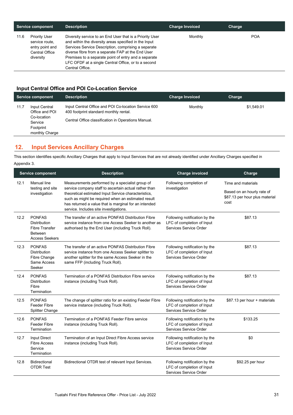| Service component                                                                         | <b>Description</b>                                                                                                                                                                                                                                                                                                                                              | <b>Charge Invoiced</b> | Charge     |
|-------------------------------------------------------------------------------------------|-----------------------------------------------------------------------------------------------------------------------------------------------------------------------------------------------------------------------------------------------------------------------------------------------------------------------------------------------------------------|------------------------|------------|
| Priority User<br>11.6<br>service route.<br>entry point and<br>Central Office<br>diversity | Diversity service to an End User that is a Priority User<br>and within the diversity areas specified in the Input<br>Services Service Description, comprising a separate<br>diverse fibre from a separate FAP at the End User<br>Premises to a separate point of entry and a separate<br>LFC OFDF at a single Central Office, or to a second<br>Central Office. | Monthly                | <b>POA</b> |

#### **Input Central Office and POI Co-Location Service**

| <b>Service component</b> |                                                                                                 | <b>Description</b>                                                                                                                                    | <b>Charge Invoiced</b> | Charge     |
|--------------------------|-------------------------------------------------------------------------------------------------|-------------------------------------------------------------------------------------------------------------------------------------------------------|------------------------|------------|
| 11.7                     | <b>Input Central</b><br>Office and POI<br>Co-location<br>Service<br>Footprint<br>monthly Charge | Input Central Office and POI Co-location Service 600<br>400 footprint standard monthly rental.<br>Central Office classification in Operations Manual. | Monthly                | \$1,549.01 |

#### <span id="page-30-0"></span>**12. Input Services Ancillary Charges**

This section identifies specific Ancillary Charges that apply to Input Services that are not already identified under Ancillary Charges specified in Appendix 3.

| <b>Service component</b> |                                                                                                          | <b>Description</b>                                                                                                                                                                                                                                                                                                        | <b>Charge invoiced</b>                                                                | Charge                                                               |
|--------------------------|----------------------------------------------------------------------------------------------------------|---------------------------------------------------------------------------------------------------------------------------------------------------------------------------------------------------------------------------------------------------------------------------------------------------------------------------|---------------------------------------------------------------------------------------|----------------------------------------------------------------------|
| 12.1                     | <b>Manual line</b><br>testing and site<br>investigation                                                  | Measurements performed by a specialist group of<br>service company staff to ascertain actual rather than<br>theoretical estimated Input Service characteristics,<br>such as might be required when an estimated result<br>has returned a value that is marginal for an intended<br>service. Includes site investigations. | Following completion of<br>investigation                                              | Time and materials                                                   |
|                          |                                                                                                          |                                                                                                                                                                                                                                                                                                                           |                                                                                       | Based on an hourly rate of<br>\$87.13 per hour plus material<br>cost |
| 12.2                     | <b>PONFAS</b><br><b>Distribution</b><br><b>Fibre Transfer</b><br><b>Between</b><br><b>Access Seekers</b> | The transfer of an active PONFAS Distribution Fibre<br>service instance from one Access Seeker to another as<br>authorised by the End User (including Truck Roll).                                                                                                                                                        | Following notification by the<br>LFC of completion of Input<br>Services Service Order | \$87.13                                                              |
| 12.3                     | <b>PONFAS</b><br><b>Distribution</b><br>Fibre Change<br>Same Access<br>Seeker                            | The transfer of an active PONFAS Distribution Fibre<br>service instance from one Access Seeker splitter to<br>another splitter for the same Access Seeker in the<br>same FFP (including Truck Roll).                                                                                                                      | Following notification by the<br>LFC of completion of Input<br>Services Service Order | \$87.13                                                              |
| 12.4                     | <b>PONFAS</b><br><b>Distribution</b><br>Fibre<br>Termination                                             | Termination of a PONFAS Distribution Fibre service<br>instance (including Truck Roll).                                                                                                                                                                                                                                    | Following notification by the<br>LFC of completion of Input<br>Services Service Order | \$87.13                                                              |
| 12.5                     | <b>PONFAS</b><br><b>Feeder Fibre</b><br><b>Splitter Change</b>                                           | The change of splitter ratio for an existing Feeder Fibre<br>service instance (including Truck Roll).                                                                                                                                                                                                                     | Following notification by the<br>LFC of completion of Input<br>Services Service Order | \$87.13 per hour + materials                                         |
| 12.6                     | <b>PONFAS</b><br><b>Feeder Fibre</b><br>Termination                                                      | Termination of a PONFAS Feeder Fibre service<br>instance (including Truck Roll).                                                                                                                                                                                                                                          | Following notification by the<br>LFC of completion of Input<br>Services Service Order | \$133.25                                                             |
| 12.7                     | Input Direct<br><b>Fibre Access</b><br>Service<br>Termination                                            | Termination of an Input Direct Fibre Access service<br>instance (including Truck Roll).                                                                                                                                                                                                                                   | Following notification by the<br>LFC of completion of Input<br>Services Service Order | \$0                                                                  |
| 12.8                     | <b>Bidirectional</b><br><b>OTDR Test</b>                                                                 | Bidirectional OTDR test of relevant Input Services.                                                                                                                                                                                                                                                                       | Following notification by the<br>LFC of completion of Input<br>Services Service Order | \$92.25 per hour                                                     |